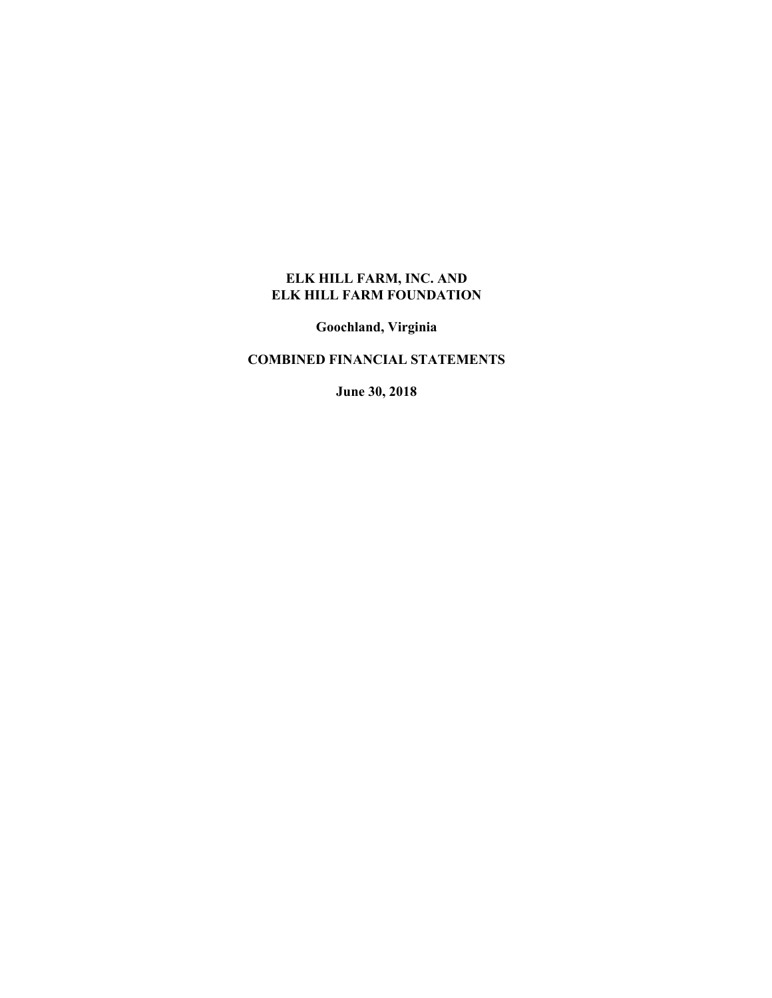**Goochland, Virginia** 

# **COMBINED FINANCIAL STATEMENTS**

**June 30, 2018**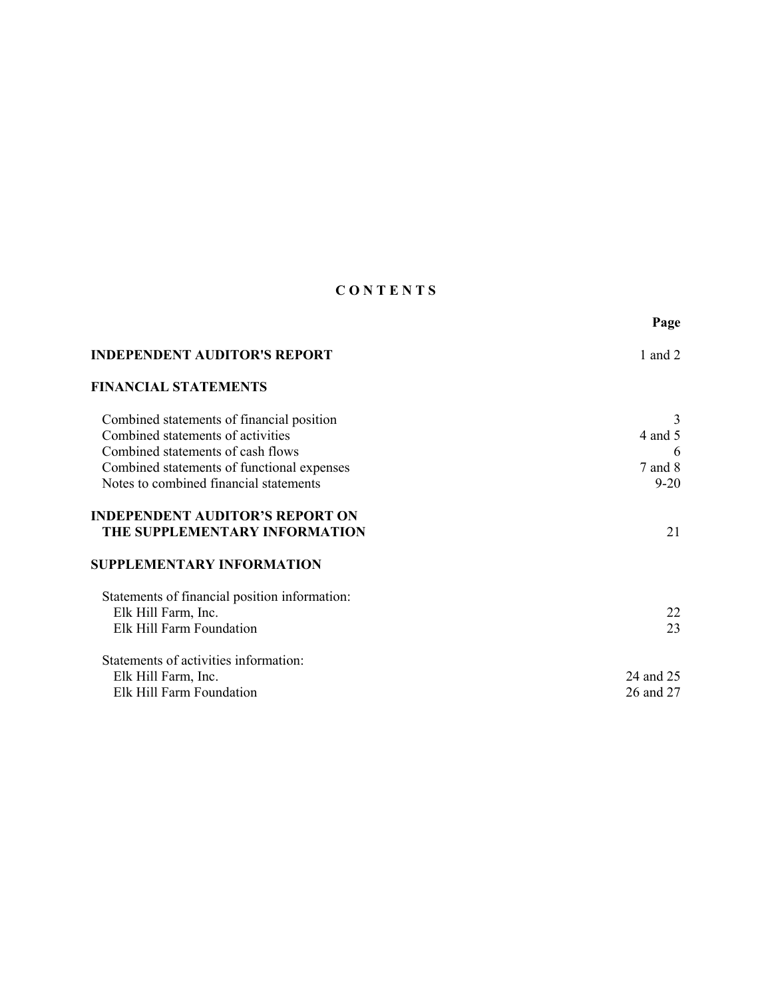# **C O N T E N T S**

|                                                                         | Page        |
|-------------------------------------------------------------------------|-------------|
| <b>INDEPENDENT AUDITOR'S REPORT</b>                                     | 1 and $2$   |
| <b>FINANCIAL STATEMENTS</b>                                             |             |
| Combined statements of financial position                               | 3           |
| Combined statements of activities                                       | 4 and 5     |
| Combined statements of cash flows                                       | 6           |
| Combined statements of functional expenses                              | $7$ and $8$ |
| Notes to combined financial statements                                  | $9 - 20$    |
| <b>INDEPENDENT AUDITOR'S REPORT ON</b><br>THE SUPPLEMENTARY INFORMATION | 21          |
| <b>SUPPLEMENTARY INFORMATION</b>                                        |             |
| Statements of financial position information:                           |             |
| Elk Hill Farm, Inc.                                                     | 22          |
| Elk Hill Farm Foundation                                                | 23          |
| Statements of activities information:                                   |             |
| Elk Hill Farm, Inc.                                                     | 24 and 25   |
| Elk Hill Farm Foundation                                                | 26 and 27   |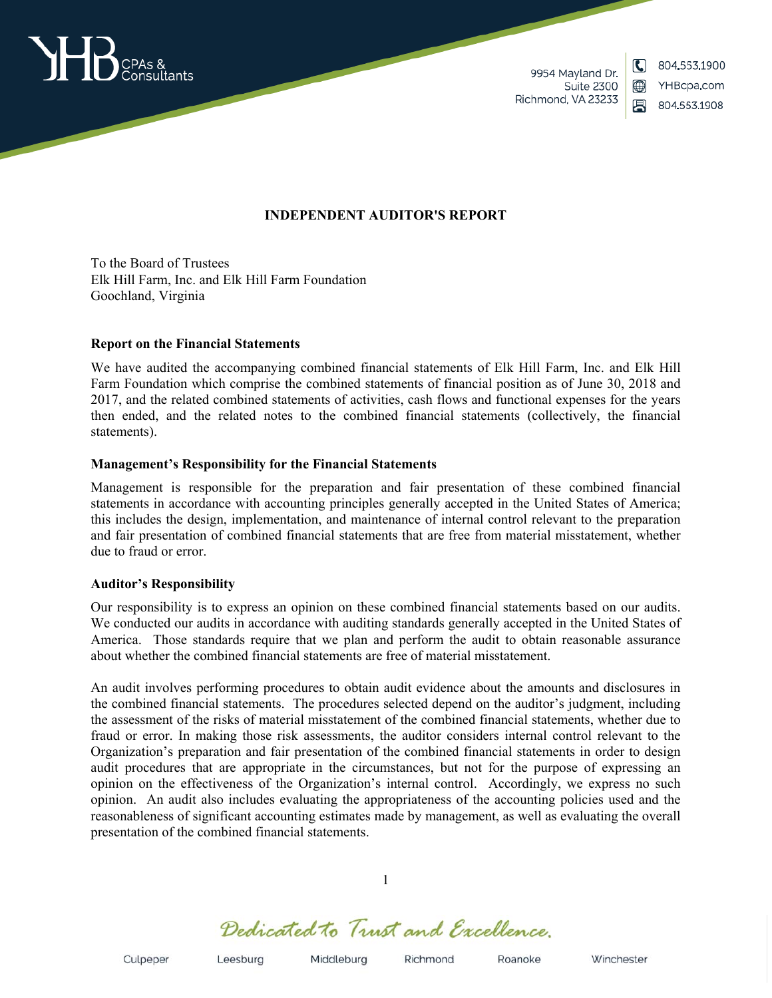

9954 Mayland Dr. **Suite 2300** Richmond, VA 23233

804 553 1900 YHBcpa.com 凰 804.553.1908

 $\mathbf C$ 

▥

## **INDEPENDENT AUDITOR'S REPORT**

To the Board of Trustees Elk Hill Farm, Inc. and Elk Hill Farm Foundation Goochland, Virginia

#### **Report on the Financial Statements**

We have audited the accompanying combined financial statements of Elk Hill Farm, Inc. and Elk Hill Farm Foundation which comprise the combined statements of financial position as of June 30, 2018 and 2017, and the related combined statements of activities, cash flows and functional expenses for the years then ended, and the related notes to the combined financial statements (collectively, the financial statements).

## **Management's Responsibility for the Financial Statements**

Management is responsible for the preparation and fair presentation of these combined financial statements in accordance with accounting principles generally accepted in the United States of America; this includes the design, implementation, and maintenance of internal control relevant to the preparation and fair presentation of combined financial statements that are free from material misstatement, whether due to fraud or error.

#### **Auditor's Responsibility**

Our responsibility is to express an opinion on these combined financial statements based on our audits. We conducted our audits in accordance with auditing standards generally accepted in the United States of America. Those standards require that we plan and perform the audit to obtain reasonable assurance about whether the combined financial statements are free of material misstatement.

An audit involves performing procedures to obtain audit evidence about the amounts and disclosures in the combined financial statements. The procedures selected depend on the auditor's judgment, including the assessment of the risks of material misstatement of the combined financial statements, whether due to fraud or error. In making those risk assessments, the auditor considers internal control relevant to the Organization's preparation and fair presentation of the combined financial statements in order to design audit procedures that are appropriate in the circumstances, but not for the purpose of expressing an opinion on the effectiveness of the Organization's internal control. Accordingly, we express no such opinion. An audit also includes evaluating the appropriateness of the accounting policies used and the reasonableness of significant accounting estimates made by management, as well as evaluating the overall presentation of the combined financial statements.

Dedicated to Trust and Excellence.

1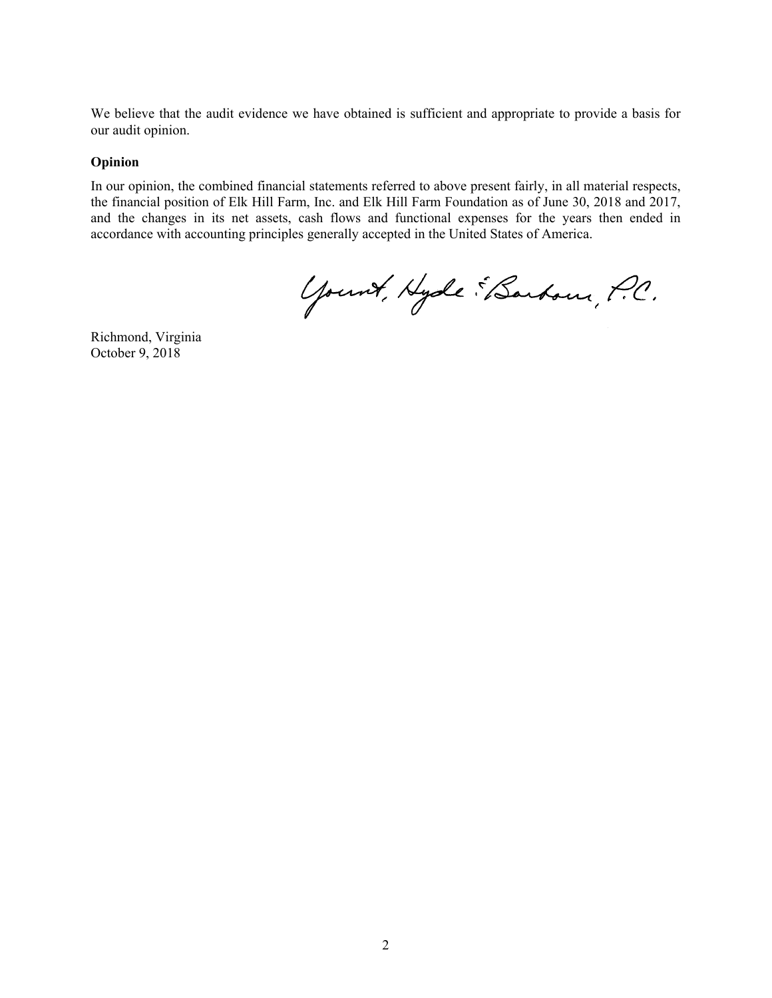We believe that the audit evidence we have obtained is sufficient and appropriate to provide a basis for our audit opinion.

#### **Opinion**

In our opinion, the combined financial statements referred to above present fairly, in all material respects, the financial position of Elk Hill Farm, Inc. and Elk Hill Farm Foundation as of June 30, 2018 and 2017, and the changes in its net assets, cash flows and functional expenses for the years then ended in accordance with accounting principles generally accepted in the United States of America.

Yount, Hyde EBarbour, P.C.

Richmond, Virginia October 9, 2018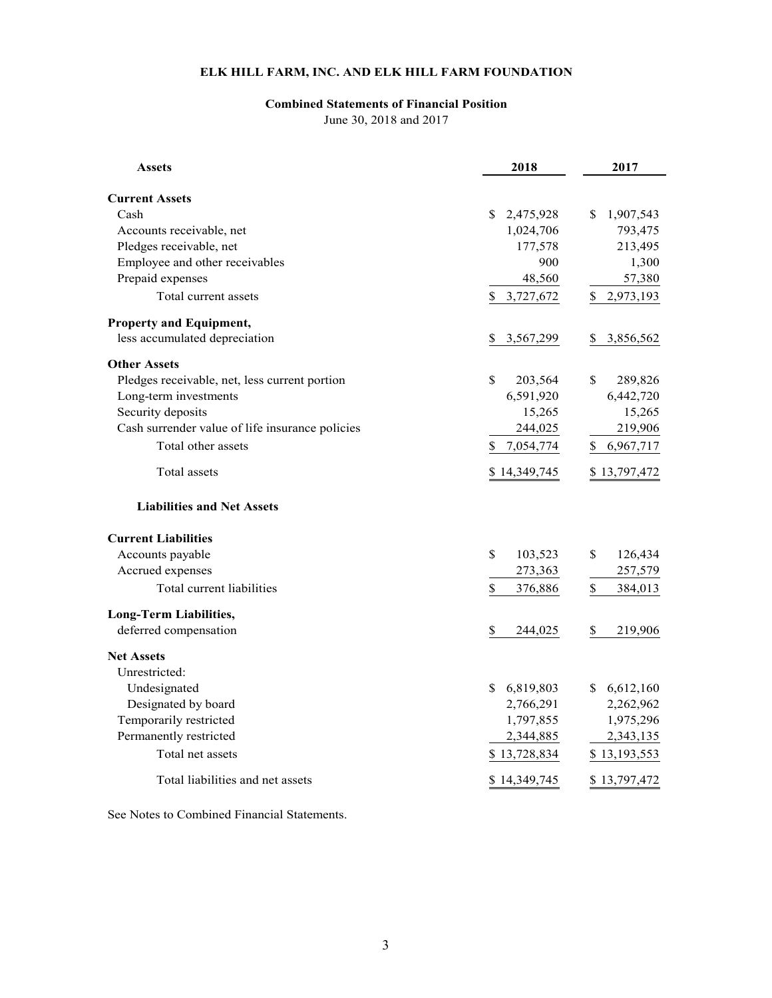## **Combined Statements of Financial Position**

June 30, 2018 and 2017

| Assets                                          | 2018            | 2017            |
|-------------------------------------------------|-----------------|-----------------|
| <b>Current Assets</b>                           |                 |                 |
| Cash                                            | 2,475,928<br>S. | 1,907,543<br>S  |
| Accounts receivable, net                        | 1,024,706       | 793,475         |
| Pledges receivable, net                         | 177,578         | 213,495         |
| Employee and other receivables                  | 900             | 1,300           |
| Prepaid expenses                                | 48,560          | 57,380          |
| Total current assets                            | \$3,727,672     | 2,973,193<br>\$ |
| Property and Equipment,                         |                 |                 |
| less accumulated depreciation                   | 3,567,299<br>S. | 3,856,562<br>S. |
| <b>Other Assets</b>                             |                 |                 |
| Pledges receivable, net, less current portion   | \$<br>203,564   | \$<br>289,826   |
| Long-term investments                           | 6,591,920       | 6,442,720       |
| Security deposits                               | 15,265          | 15,265          |
| Cash surrender value of life insurance policies | 244,025         | 219,906         |
| Total other assets                              | 7,054,774<br>\$ | 6,967,717<br>\$ |
| Total assets                                    | \$14,349,745    | \$13,797,472    |
| <b>Liabilities and Net Assets</b>               |                 |                 |
| <b>Current Liabilities</b>                      |                 |                 |
| Accounts payable                                | \$<br>103,523   | \$<br>126,434   |
| Accrued expenses                                | 273,363         | 257,579         |
| Total current liabilities                       | \$<br>376,886   | \$<br>384,013   |
| Long-Term Liabilities,                          |                 |                 |
| deferred compensation                           | \$<br>244,025   | \$<br>219,906   |
| <b>Net Assets</b>                               |                 |                 |
| Unrestricted:                                   |                 |                 |
| Undesignated                                    | \$6,819,803     | 6,612,160<br>S. |
| Designated by board                             | 2,766,291       | 2,262,962       |
| Temporarily restricted                          | 1,797,855       | 1,975,296       |
| Permanently restricted                          | 2,344,885       | 2,343,135       |
| Total net assets                                | \$13,728,834    | \$13,193,553    |
| Total liabilities and net assets                | \$14,349,745    | \$13,797,472    |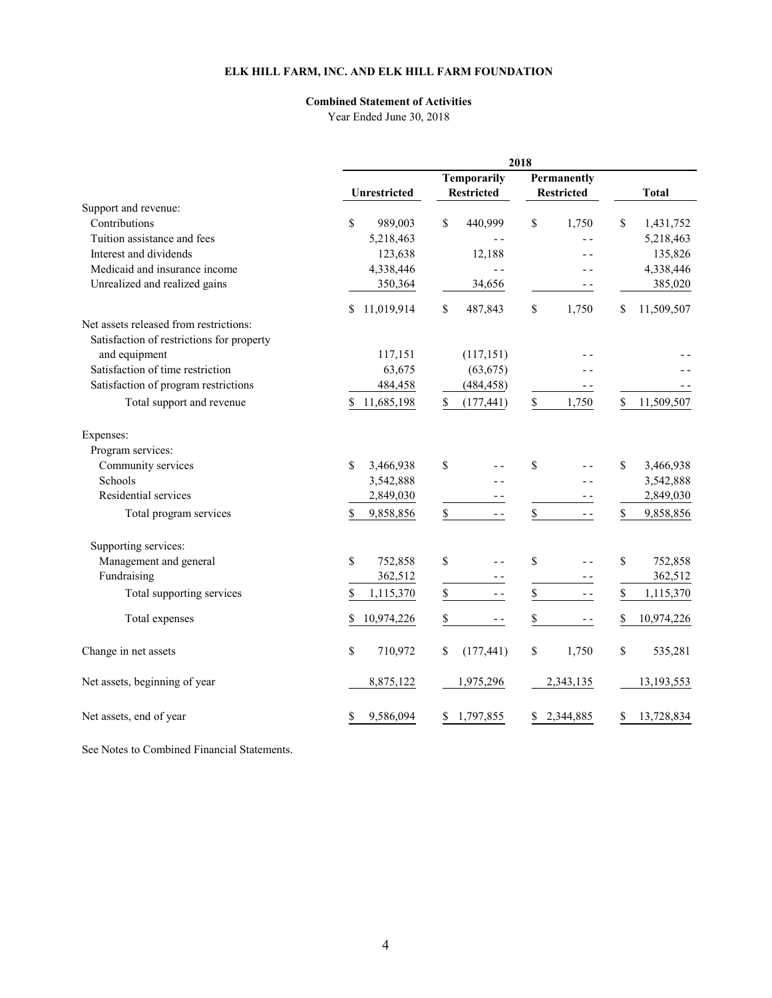# **Combined Statement of Activities**

Year Ended June 30, 2018

|                                           | 2018             |                    |                       |                           |  |  |
|-------------------------------------------|------------------|--------------------|-----------------------|---------------------------|--|--|
|                                           |                  | <b>Temporarily</b> |                       |                           |  |  |
|                                           | Unrestricted     | <b>Restricted</b>  | <b>Restricted</b>     | <b>Total</b>              |  |  |
| Support and revenue:                      |                  |                    |                       |                           |  |  |
| Contributions                             | \$<br>989,003    | \$<br>440,999      | $\mathbb{S}$<br>1,750 | $\mathbb{S}$<br>1,431,752 |  |  |
| Tuition assistance and fees               | 5,218,463        | $\overline{a}$     | $ -$                  | 5,218,463                 |  |  |
| Interest and dividends                    | 123,638          | 12,188             |                       | 135,826                   |  |  |
| Medicaid and insurance income             | 4,338,446        | $-$                |                       | 4,338,446                 |  |  |
| Unrealized and realized gains             | 350,364          | 34,656             |                       | 385,020                   |  |  |
|                                           | 11,019,914<br>S  | \$<br>487,843      | \$<br>1,750           | 11,509,507<br>\$          |  |  |
| Net assets released from restrictions:    |                  |                    |                       |                           |  |  |
| Satisfaction of restrictions for property |                  |                    |                       |                           |  |  |
| and equipment                             | 117,151          | (117, 151)         |                       |                           |  |  |
| Satisfaction of time restriction          | 63,675           | (63, 675)          |                       |                           |  |  |
| Satisfaction of program restrictions      | 484,458          | (484, 458)         | $ -$                  |                           |  |  |
| Total support and revenue                 | 11,685,198<br>\$ | \$<br>(177, 441)   | $\mathbb S$<br>1,750  | 11,509,507<br>S           |  |  |
| Expenses:                                 |                  |                    |                       |                           |  |  |
| Program services:                         |                  |                    |                       |                           |  |  |
| Community services                        | \$<br>3,466,938  | \$                 | $\mathbb{S}$          | \$<br>3,466,938           |  |  |
| Schools                                   | 3,542,888        |                    |                       | 3,542,888                 |  |  |
| Residential services                      | 2,849,030        |                    |                       | 2,849,030                 |  |  |
| Total program services                    | 9,858,856<br>\$  | \$<br>$ -$         | \$<br>$ -$            | \$<br>9,858,856           |  |  |
| Supporting services:                      |                  |                    |                       |                           |  |  |
| Management and general                    | \$<br>752,858    | \$                 | \$<br>$ -$            | \$<br>752,858             |  |  |
| Fundraising                               | 362,512          |                    | - -                   | 362,512                   |  |  |
| Total supporting services                 | \$<br>1,115,370  | \$<br>$ -$         | \$<br>$ -$            | \$<br>1,115,370           |  |  |
| Total expenses                            | 10,974,226<br>\$ | \$<br>$- -$        | \$<br>$ -$            | 10,974,226<br>\$          |  |  |
| Change in net assets                      | \$<br>710,972    | \$<br>(177, 441)   | \$<br>1,750           | $\mathbb{S}$<br>535,281   |  |  |
| Net assets, beginning of year             | 8,875,122        | 1,975,296          | 2,343,135             | 13,193,553                |  |  |
| Net assets, end of year                   | 9,586,094<br>\$  | 1,797,855<br>\$    | 2,344,885<br>\$       | 13,728,834<br>S           |  |  |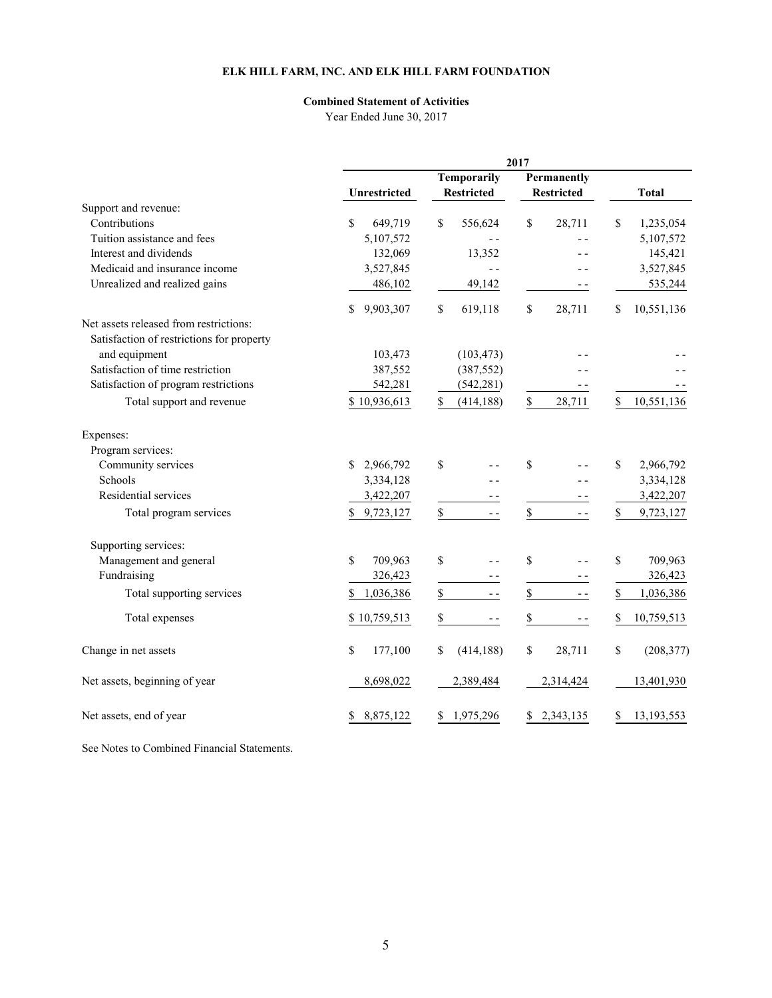# **Combined Statement of Activities**

Year Ended June 30, 2017

|                                           |                 |                    | 2017                |                  |
|-------------------------------------------|-----------------|--------------------|---------------------|------------------|
|                                           |                 | <b>Temporarily</b> | Permanently         |                  |
|                                           | Unrestricted    | <b>Restricted</b>  | <b>Restricted</b>   | <b>Total</b>     |
| Support and revenue:                      |                 |                    |                     |                  |
| Contributions                             | \$<br>649,719   | \$<br>556,624      | \$<br>28,711        | \$<br>1,235,054  |
| Tuition assistance and fees               | 5,107,572       | $ -$               | - -                 | 5,107,572        |
| Interest and dividends                    | 132,069         | 13,352             |                     | 145,421          |
| Medicaid and insurance income             | 3,527,845       | $-$                |                     | 3,527,845        |
| Unrealized and realized gains             | 486,102         | 49,142             | - -                 | 535,244          |
|                                           | 9,903,307<br>\$ | \$<br>619,118      | \$<br>28,711        | \$<br>10,551,136 |
| Net assets released from restrictions:    |                 |                    |                     |                  |
| Satisfaction of restrictions for property |                 |                    |                     |                  |
| and equipment                             | 103,473         | (103, 473)         |                     |                  |
| Satisfaction of time restriction          | 387,552         | (387, 552)         |                     |                  |
| Satisfaction of program restrictions      | 542,281         | (542, 281)         | - -                 |                  |
| Total support and revenue                 | \$10,936,613    | \$<br>(414, 188)   | \$<br>28,711        | 10,551,136<br>\$ |
| Expenses:                                 |                 |                    |                     |                  |
| Program services:                         |                 |                    |                     |                  |
| Community services                        | 2,966,792<br>\$ | \$                 | \$<br>$ -$          | \$<br>2,966,792  |
| Schools                                   | 3,334,128       |                    |                     | 3,334,128        |
| Residential services                      | 3,422,207       |                    | - -                 | 3,422,207        |
| Total program services                    | \$9,723,127     | \$<br>$ -$         | $\mathbb S$<br>$ -$ | \$<br>9,723,127  |
| Supporting services:                      |                 |                    |                     |                  |
| Management and general                    | \$<br>709,963   | \$                 | \$<br>$-$           | \$<br>709,963    |
| Fundraising                               | 326,423         |                    | - -                 | 326,423          |
| Total supporting services                 | 1,036,386<br>\$ | \$                 | \$<br>$ -$          | \$<br>1,036,386  |
| Total expenses                            | \$10,759,513    | \$<br>$ -$         | \$<br>- -           | 10,759,513<br>\$ |
| Change in net assets                      | \$<br>177,100   | \$<br>(414, 188)   | \$<br>28,711        | \$<br>(208, 377) |
| Net assets, beginning of year             | 8,698,022       | 2,389,484          | 2,314,424           | 13,401,930       |
| Net assets, end of year                   | 8,875,122<br>\$ | \$1,975,296        | 2,343,135<br>\$     | 13,193,553<br>\$ |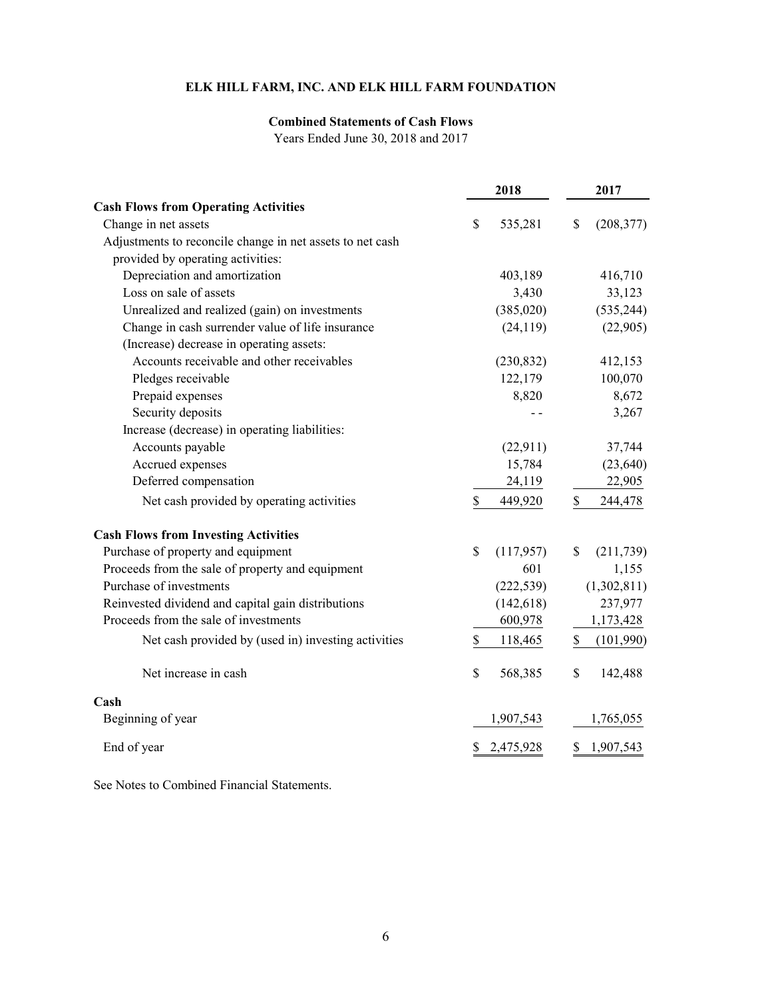# **Combined Statements of Cash Flows**

Years Ended June 30, 2018 and 2017

|                                                           |              | 2018       | 2017             |
|-----------------------------------------------------------|--------------|------------|------------------|
| <b>Cash Flows from Operating Activities</b>               |              |            |                  |
| Change in net assets                                      | \$           | 535,281    | \$<br>(208, 377) |
| Adjustments to reconcile change in net assets to net cash |              |            |                  |
| provided by operating activities:                         |              |            |                  |
| Depreciation and amortization                             |              | 403,189    | 416,710          |
| Loss on sale of assets                                    |              | 3,430      | 33,123           |
| Unrealized and realized (gain) on investments             |              | (385, 020) | (535, 244)       |
| Change in cash surrender value of life insurance          |              | (24, 119)  | (22,905)         |
| (Increase) decrease in operating assets:                  |              |            |                  |
| Accounts receivable and other receivables                 |              | (230, 832) | 412,153          |
| Pledges receivable                                        |              | 122,179    | 100,070          |
| Prepaid expenses                                          |              | 8,820      | 8,672            |
| Security deposits                                         |              |            | 3,267            |
| Increase (decrease) in operating liabilities:             |              |            |                  |
| Accounts payable                                          |              | (22, 911)  | 37,744           |
| Accrued expenses                                          |              | 15,784     | (23, 640)        |
| Deferred compensation                                     |              | 24,119     | 22,905           |
| Net cash provided by operating activities                 | \$           | 449,920    | \$<br>244,478    |
| <b>Cash Flows from Investing Activities</b>               |              |            |                  |
| Purchase of property and equipment                        | $\mathbb{S}$ | (117,957)  | \$<br>(211, 739) |
| Proceeds from the sale of property and equipment          |              | 601        | 1,155            |
| Purchase of investments                                   |              | (222, 539) | (1,302,811)      |
| Reinvested dividend and capital gain distributions        |              | (142, 618) | 237,977          |
| Proceeds from the sale of investments                     |              | 600,978    | 1,173,428        |
| Net cash provided by (used in) investing activities       | \$           | 118,465    | \$<br>(101,990)  |
| Net increase in cash                                      | \$           | 568,385    | \$<br>142,488    |
| Cash                                                      |              |            |                  |
| Beginning of year                                         |              | 1,907,543  | 1,765,055        |
| End of year                                               |              | 2,475,928  | 1,907,543        |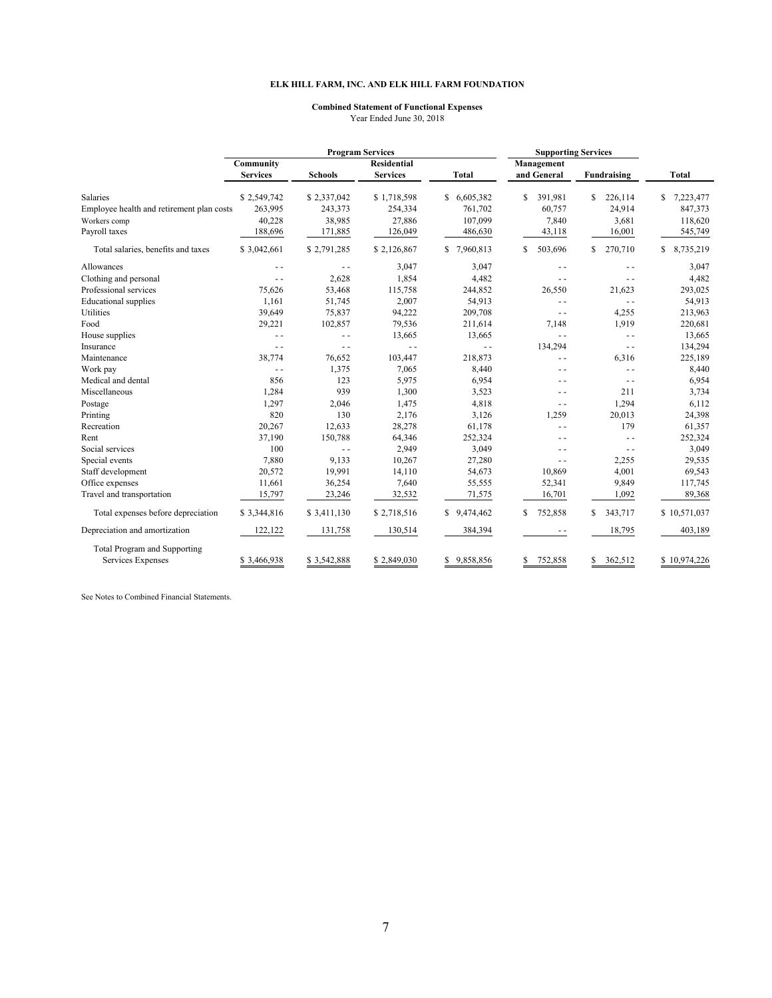#### **Combined Statement of Functional Expenses** Year Ended June 30, 2018

|                                           |                 |                | <b>Program Services</b> | <b>Supporting Services</b> |               |                |                |
|-------------------------------------------|-----------------|----------------|-------------------------|----------------------------|---------------|----------------|----------------|
|                                           | Community       |                | <b>Residential</b>      |                            | Management    |                |                |
|                                           | <b>Services</b> | <b>Schools</b> | <b>Services</b>         | <b>Total</b>               | and General   | Fundraising    | <b>Total</b>   |
| Salaries                                  | \$2,549,742     | \$2,337,042    | \$1,718,598             | \$6,605,382                | \$<br>391.981 | \$<br>226,114  | 7,223,477<br>S |
| Employee health and retirement plan costs | 263,995         | 243,373        | 254,334                 | 761,702                    | 60,757        | 24,914         | 847,373        |
| Workers comp                              | 40,228          | 38,985         | 27,886                  | 107,099                    | 7,840         | 3,681          | 118,620        |
| Payroll taxes                             | 188,696         | 171,885        | 126,049                 | 486,630                    | 43,118        | 16,001         | 545,749        |
| Total salaries, benefits and taxes        | \$3,042,661     | \$2,791,285    | \$2,126,867             | 7,960,813<br>S.            | \$<br>503,696 | \$.<br>270,710 | S<br>8,735,219 |
| Allowances                                | $ -$            | $\sim$ $\sim$  | 3,047                   | 3,047                      | $ -$          | $\sim$ $\sim$  | 3,047          |
| Clothing and personal                     | $\sim$ $\sim$   | 2,628          | 1,854                   | 4,482                      | $\sim$ $\sim$ | $\sim$ $\sim$  | 4,482          |
| Professional services                     | 75,626          | 53,468         | 115,758                 | 244,852                    | 26,550        | 21,623         | 293,025        |
| <b>Educational</b> supplies               | 1,161           | 51,745         | 2,007                   | 54,913                     | $\sim$ $\sim$ | $\sim$ $\sim$  | 54,913         |
| Utilities                                 | 39,649          | 75,837         | 94,222                  | 209,708                    | $\sim$ $\sim$ | 4,255          | 213,963        |
| Food                                      | 29,221          | 102,857        | 79,536                  | 211,614                    | 7,148         | 1,919          | 220,681        |
| House supplies                            | $\sim$ $\sim$   | $\sim$ $\sim$  | 13,665                  | 13,665                     | $ -$          | $\sim$ $\sim$  | 13,665         |
| Insurance                                 | $\sim$ $\sim$   | $\sim$ $\sim$  | $\sim$ $\sim$           | $\sim$ $\sim$              | 134,294       | $\sim$ $\sim$  | 134,294        |
| Maintenance                               | 38,774          | 76,652         | 103,447                 | 218,873                    | $\sim$ $\sim$ | 6,316          | 225,189        |
| Work pay                                  | $\sim$ $\sim$   | 1,375          | 7,065                   | 8,440                      | $ -$          | $\sim$ $\sim$  | 8,440          |
| Medical and dental                        | 856             | 123            | 5,975                   | 6,954                      | $ -$          | $ -$           | 6,954          |
| Miscellaneous                             | 1,284           | 939            | 1,300                   | 3,523                      | $\sim$ $\sim$ | 211            | 3,734          |
| Postage                                   | 1,297           | 2,046          | 1,475                   | 4,818                      | $\sim$ $\sim$ | 1,294          | 6,112          |
| Printing                                  | 820             | 130            | 2,176                   | 3,126                      | 1,259         | 20,013         | 24,398         |
| Recreation                                | 20,267          | 12,633         | 28,278                  | 61,178                     | $\sim$ $\sim$ | 179            | 61,357         |
| Rent                                      | 37,190          | 150,788        | 64,346                  | 252,324                    | $\sim$ $\sim$ | $ -$           | 252,324        |
| Social services                           | 100             | $\sim$ $\sim$  | 2,949                   | 3,049                      | $\sim$ $\sim$ | $\sim$ $\sim$  | 3,049          |
| Special events                            | 7,880           | 9,133          | 10,267                  | 27,280                     | $ -$          | 2,255          | 29,535         |
| Staff development                         | 20,572          | 19,991         | 14,110                  | 54,673                     | 10,869        | 4,001          | 69,543         |
| Office expenses                           | 11,661          | 36,254         | 7,640                   | 55,555                     | 52,341        | 9,849          | 117,745        |
| Travel and transportation                 | 15,797          | 23,246         | 32,532                  | 71,575                     | 16,701        | 1,092          | 89,368         |
| Total expenses before depreciation        | \$3,344,816     | \$3,411,130    | \$2,718,516             | \$9,474,462                | \$<br>752,858 | \$<br>343,717  | \$10,571,037   |
| Depreciation and amortization             | 122,122         | 131,758        | 130,514                 | 384,394                    | $-$ -         | 18,795         | 403,189        |
| <b>Total Program and Supporting</b>       |                 |                |                         |                            |               |                |                |
| Services Expenses                         | \$3,466,938     | \$3,542,888    | \$2,849,030             | 9,858,856<br>S.            | 752,858<br>\$ | 362,512<br>\$  | \$10,974,226   |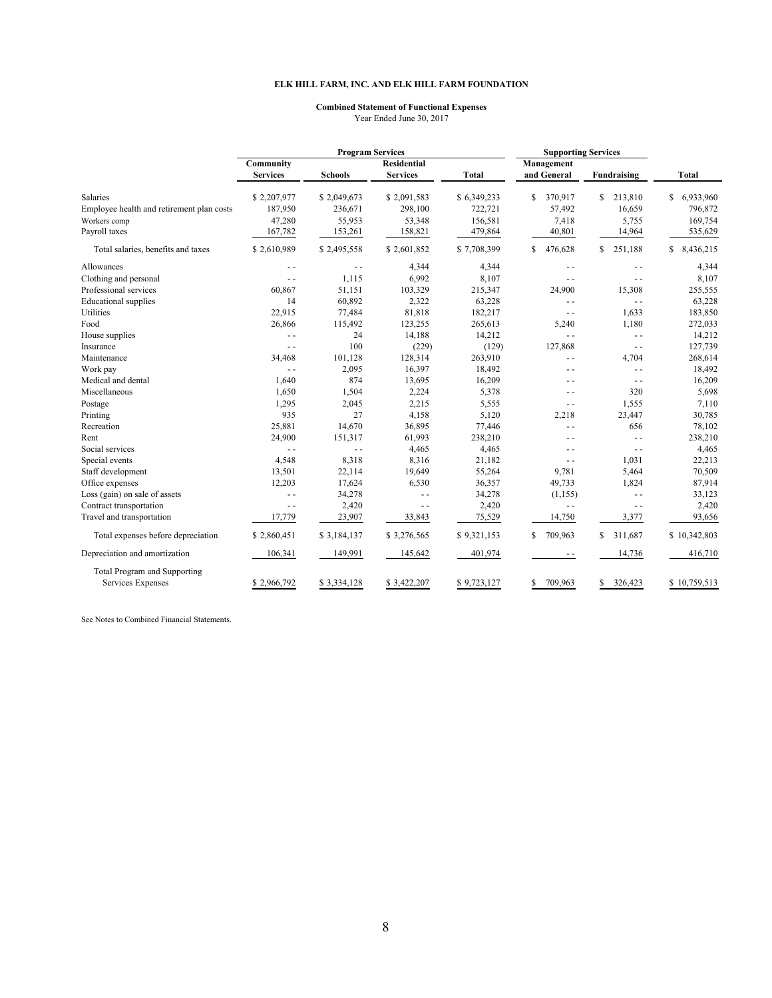#### **Combined Statement of Functional Expenses** Year Ended June 30, 2017

|                                           | <b>Program Services</b>      |                |                                       | <b>Supporting Services</b> |                           |               |                 |
|-------------------------------------------|------------------------------|----------------|---------------------------------------|----------------------------|---------------------------|---------------|-----------------|
|                                           | Community<br><b>Services</b> | <b>Schools</b> | <b>Residential</b><br><b>Services</b> | <b>Total</b>               | Management<br>and General | Fundraising   | <b>Total</b>    |
| <b>Salaries</b>                           | \$2,207,977                  | \$2,049,673    | \$2,091,583                           | \$6,349,233                | S<br>370,917              | \$<br>213,810 | \$<br>6,933,960 |
| Employee health and retirement plan costs | 187,950                      | 236,671        | 298,100                               | 722,721                    | 57,492                    | 16,659        | 796,872         |
| Workers comp                              | 47,280                       | 55,953         | 53,348                                | 156,581                    | 7,418                     | 5,755         | 169,754         |
| Payroll taxes                             | 167,782                      | 153,261        | 158,821                               | 479,864                    | 40,801                    | 14,964        | 535,629         |
| Total salaries, benefits and taxes        | \$2,610,989                  | \$2,495,558    | \$2,601,852                           | \$7,708,399                | S<br>476,628              | 251,188<br>\$ | 8,436,215<br>\$ |
| Allowances                                | $\sim$ $\sim$                | $\sim$ $\sim$  | 4,344                                 | 4,344                      | $\sim$ $\sim$             | $\sim$ $\sim$ | 4,344           |
| Clothing and personal                     | $\sim$ $\sim$                | 1,115          | 6,992                                 | 8,107                      | $\overline{a}$            | $\sim$ $\sim$ | 8,107           |
| Professional services                     | 60,867                       | 51,151         | 103,329                               | 215,347                    | 24,900                    | 15,308        | 255,555         |
| <b>Educational</b> supplies               | 14                           | 60,892         | 2,322                                 | 63,228                     | $\overline{a}$            | $\sim$ $\sim$ | 63,228          |
| Utilities                                 | 22,915                       | 77,484         | 81,818                                | 182,217                    | $\sim$ $\sim$             | 1,633         | 183,850         |
| Food                                      | 26,866                       | 115,492        | 123,255                               | 265,613                    | 5,240                     | 1,180         | 272,033         |
| House supplies                            | $ -$                         | 24             | 14,188                                | 14,212                     | $\sim$ $\sim$             | $ -$          | 14,212          |
| Insurance                                 | $\sim$ $\sim$                | 100            | (229)                                 | (129)                      | 127,868                   | $=$ $=$       | 127,739         |
| Maintenance                               | 34,468                       | 101,128        | 128,314                               | 263,910                    | $\overline{a}$            | 4,704         | 268,614         |
| Work pay                                  | $\sim$ $\sim$                | 2,095          | 16,397                                | 18,492                     | $ -$                      | $\sim$ $\sim$ | 18,492          |
| Medical and dental                        | 1,640                        | 874            | 13,695                                | 16,209                     | . .                       | $\sim$ $\sim$ | 16,209          |
| Miscellaneous                             | 1,650                        | 1,504          | 2,224                                 | 5,378                      | $ -$                      | 320           | 5,698           |
| Postage                                   | 1,295                        | 2,045          | 2,215                                 | 5,555                      | $\sim$ $\sim$             | 1,555         | 7,110           |
| Printing                                  | 935                          | 27             | 4,158                                 | 5,120                      | 2,218                     | 23,447        | 30,785          |
| Recreation                                | 25,881                       | 14,670         | 36,895                                | 77,446                     | ۵.                        | 656           | 78,102          |
| Rent                                      | 24,900                       | 151,317        | 61,993                                | 238,210                    | - -                       | $\sim$ $\sim$ | 238,210         |
| Social services                           | $\sim$ $\sim$                | $\sim$ $\sim$  | 4,465                                 | 4,465                      | - -                       | $ -$          | 4,465           |
| Special events                            | 4,548                        | 8,318          | 8,316                                 | 21,182                     | $\sim$ $\sim$             | 1,031         | 22,213          |
| Staff development                         | 13,501                       | 22,114         | 19,649                                | 55,264                     | 9.781                     | 5,464         | 70,509          |
| Office expenses                           | 12,203                       | 17,624         | 6,530                                 | 36,357                     | 49,733                    | 1,824         | 87,914          |
| Loss (gain) on sale of assets             | $\sim$ $\sim$                | 34,278         | $\overline{a}$                        | 34,278                     | (1, 155)                  | $ -$          | 33,123          |
| Contract transportation                   | $-$                          | 2,420          | $\sim$ $\sim$                         | 2,420                      | $\sim$ $\sim$             | $\sim$ $\sim$ | 2,420           |
| Travel and transportation                 | 17,779                       | 23,907         | 33,843                                | 75,529                     | 14,750                    | 3,377         | 93,656          |
| Total expenses before depreciation        | \$2,860,451                  | \$3,184,137    | \$3,276,565                           | \$9,321,153                | 709,963<br>S              | 311,687<br>\$ | \$10,342,803    |
| Depreciation and amortization             | 106,341                      | 149,991        | 145,642                               | 401,974                    | - -                       | 14,736        | 416,710         |
| Total Program and Supporting              |                              |                |                                       |                            |                           |               |                 |
| Services Expenses                         | \$2,966,792                  | \$3,334,128    | \$3,422,207                           | \$9,723,127                | S<br>709,963              | \$<br>326,423 | \$10,759,513    |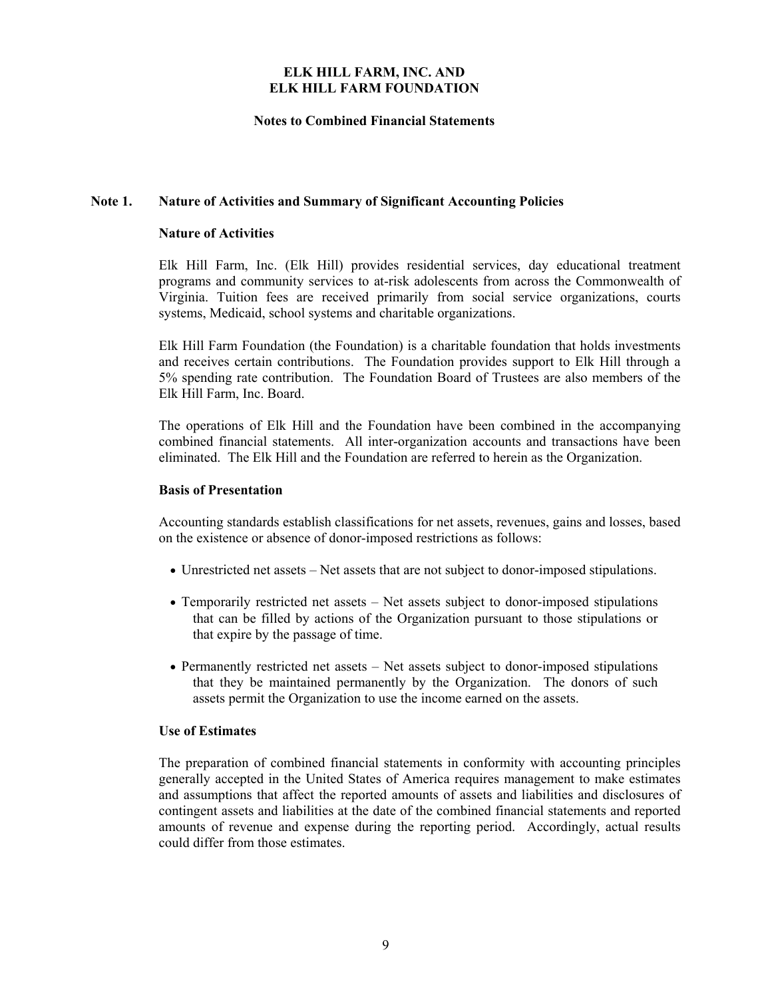## **Notes to Combined Financial Statements**

## **Note 1. Nature of Activities and Summary of Significant Accounting Policies**

## **Nature of Activities**

Elk Hill Farm, Inc. (Elk Hill) provides residential services, day educational treatment programs and community services to at-risk adolescents from across the Commonwealth of Virginia. Tuition fees are received primarily from social service organizations, courts systems, Medicaid, school systems and charitable organizations.

Elk Hill Farm Foundation (the Foundation) is a charitable foundation that holds investments and receives certain contributions. The Foundation provides support to Elk Hill through a 5% spending rate contribution. The Foundation Board of Trustees are also members of the Elk Hill Farm, Inc. Board.

The operations of Elk Hill and the Foundation have been combined in the accompanying combined financial statements. All inter-organization accounts and transactions have been eliminated. The Elk Hill and the Foundation are referred to herein as the Organization.

## **Basis of Presentation**

Accounting standards establish classifications for net assets, revenues, gains and losses, based on the existence or absence of donor-imposed restrictions as follows:

- Unrestricted net assets Net assets that are not subject to donor-imposed stipulations.
- Temporarily restricted net assets Net assets subject to donor-imposed stipulations that can be filled by actions of the Organization pursuant to those stipulations or that expire by the passage of time.
- Permanently restricted net assets Net assets subject to donor-imposed stipulations that they be maintained permanently by the Organization. The donors of such assets permit the Organization to use the income earned on the assets.

## **Use of Estimates**

The preparation of combined financial statements in conformity with accounting principles generally accepted in the United States of America requires management to make estimates and assumptions that affect the reported amounts of assets and liabilities and disclosures of contingent assets and liabilities at the date of the combined financial statements and reported amounts of revenue and expense during the reporting period. Accordingly, actual results could differ from those estimates.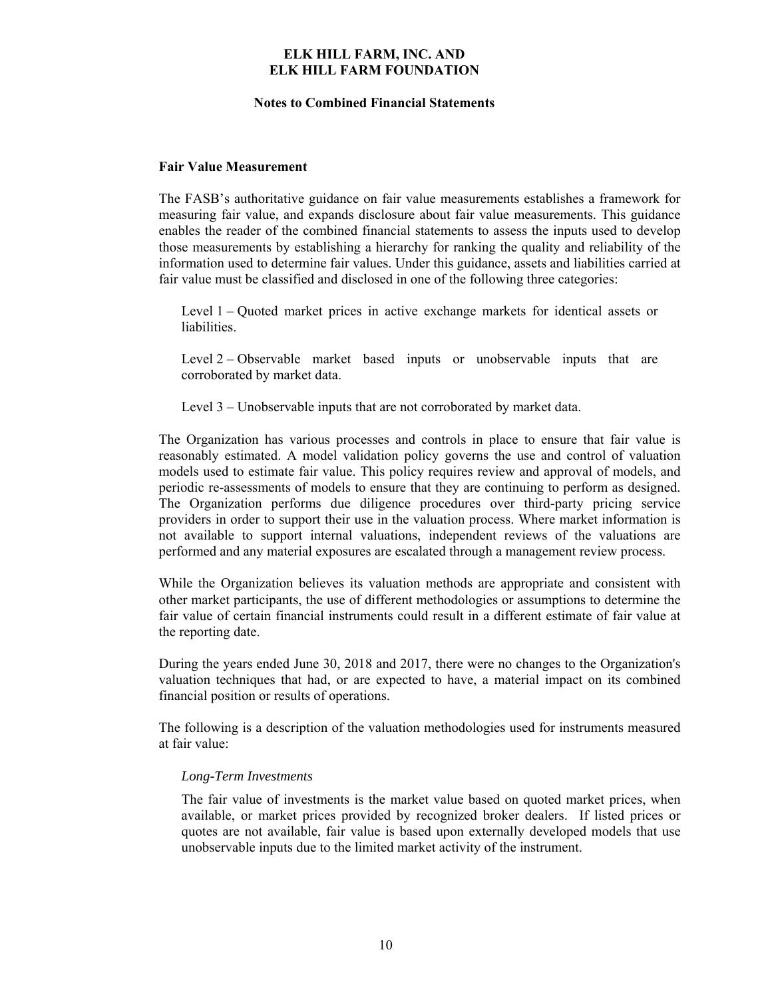#### **Notes to Combined Financial Statements**

#### **Fair Value Measurement**

The FASB's authoritative guidance on fair value measurements establishes a framework for measuring fair value, and expands disclosure about fair value measurements. This guidance enables the reader of the combined financial statements to assess the inputs used to develop those measurements by establishing a hierarchy for ranking the quality and reliability of the information used to determine fair values. Under this guidance, assets and liabilities carried at fair value must be classified and disclosed in one of the following three categories:

Level 1 – Quoted market prices in active exchange markets for identical assets or liabilities.

Level 2 – Observable market based inputs or unobservable inputs that are corroborated by market data.

Level 3 – Unobservable inputs that are not corroborated by market data.

The Organization has various processes and controls in place to ensure that fair value is reasonably estimated. A model validation policy governs the use and control of valuation models used to estimate fair value. This policy requires review and approval of models, and periodic re-assessments of models to ensure that they are continuing to perform as designed. The Organization performs due diligence procedures over third-party pricing service providers in order to support their use in the valuation process. Where market information is not available to support internal valuations, independent reviews of the valuations are performed and any material exposures are escalated through a management review process.

While the Organization believes its valuation methods are appropriate and consistent with other market participants, the use of different methodologies or assumptions to determine the fair value of certain financial instruments could result in a different estimate of fair value at the reporting date.

During the years ended June 30, 2018 and 2017, there were no changes to the Organization's valuation techniques that had, or are expected to have, a material impact on its combined financial position or results of operations.

The following is a description of the valuation methodologies used for instruments measured at fair value:

#### *Long-Term Investments*

The fair value of investments is the market value based on quoted market prices, when available, or market prices provided by recognized broker dealers. If listed prices or quotes are not available, fair value is based upon externally developed models that use unobservable inputs due to the limited market activity of the instrument.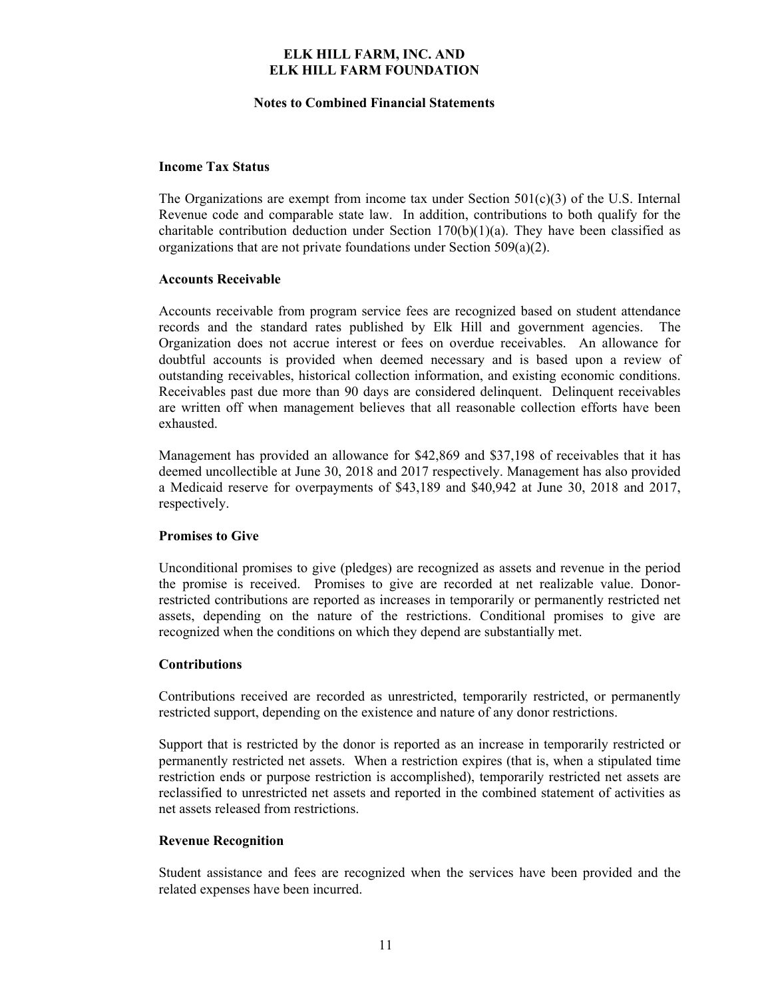#### **Notes to Combined Financial Statements**

## **Income Tax Status**

The Organizations are exempt from income tax under Section  $501(c)(3)$  of the U.S. Internal Revenue code and comparable state law. In addition, contributions to both qualify for the charitable contribution deduction under Section  $170(b)(1)(a)$ . They have been classified as organizations that are not private foundations under Section 509(a)(2).

## **Accounts Receivable**

Accounts receivable from program service fees are recognized based on student attendance records and the standard rates published by Elk Hill and government agencies. The Organization does not accrue interest or fees on overdue receivables. An allowance for doubtful accounts is provided when deemed necessary and is based upon a review of outstanding receivables, historical collection information, and existing economic conditions. Receivables past due more than 90 days are considered delinquent. Delinquent receivables are written off when management believes that all reasonable collection efforts have been exhausted.

Management has provided an allowance for \$42,869 and \$37,198 of receivables that it has deemed uncollectible at June 30, 2018 and 2017 respectively. Management has also provided a Medicaid reserve for overpayments of \$43,189 and \$40,942 at June 30, 2018 and 2017, respectively.

## **Promises to Give**

Unconditional promises to give (pledges) are recognized as assets and revenue in the period the promise is received. Promises to give are recorded at net realizable value. Donorrestricted contributions are reported as increases in temporarily or permanently restricted net assets, depending on the nature of the restrictions. Conditional promises to give are recognized when the conditions on which they depend are substantially met.

## **Contributions**

Contributions received are recorded as unrestricted, temporarily restricted, or permanently restricted support, depending on the existence and nature of any donor restrictions.

Support that is restricted by the donor is reported as an increase in temporarily restricted or permanently restricted net assets. When a restriction expires (that is, when a stipulated time restriction ends or purpose restriction is accomplished), temporarily restricted net assets are reclassified to unrestricted net assets and reported in the combined statement of activities as net assets released from restrictions.

## **Revenue Recognition**

Student assistance and fees are recognized when the services have been provided and the related expenses have been incurred.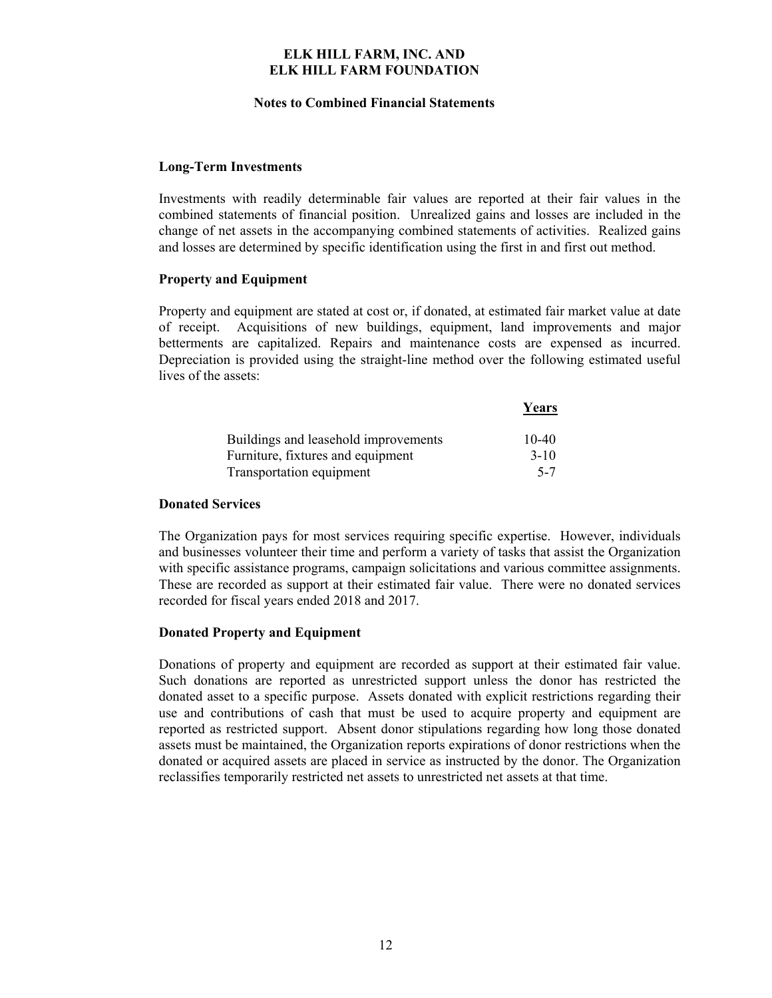#### **Notes to Combined Financial Statements**

## **Long-Term Investments**

Investments with readily determinable fair values are reported at their fair values in the combined statements of financial position. Unrealized gains and losses are included in the change of net assets in the accompanying combined statements of activities. Realized gains and losses are determined by specific identification using the first in and first out method.

## **Property and Equipment**

Property and equipment are stated at cost or, if donated, at estimated fair market value at date of receipt. Acquisitions of new buildings, equipment, land improvements and major betterments are capitalized. Repairs and maintenance costs are expensed as incurred. Depreciation is provided using the straight-line method over the following estimated useful lives of the assets:

|                                      | Years   |
|--------------------------------------|---------|
| Buildings and leasehold improvements | $10-40$ |
| Furniture, fixtures and equipment    | $3-10$  |
| Transportation equipment             | $5 - 7$ |

#### **Donated Services**

The Organization pays for most services requiring specific expertise. However, individuals and businesses volunteer their time and perform a variety of tasks that assist the Organization with specific assistance programs, campaign solicitations and various committee assignments. These are recorded as support at their estimated fair value. There were no donated services recorded for fiscal years ended 2018 and 2017.

## **Donated Property and Equipment**

Donations of property and equipment are recorded as support at their estimated fair value. Such donations are reported as unrestricted support unless the donor has restricted the donated asset to a specific purpose. Assets donated with explicit restrictions regarding their use and contributions of cash that must be used to acquire property and equipment are reported as restricted support. Absent donor stipulations regarding how long those donated assets must be maintained, the Organization reports expirations of donor restrictions when the donated or acquired assets are placed in service as instructed by the donor. The Organization reclassifies temporarily restricted net assets to unrestricted net assets at that time.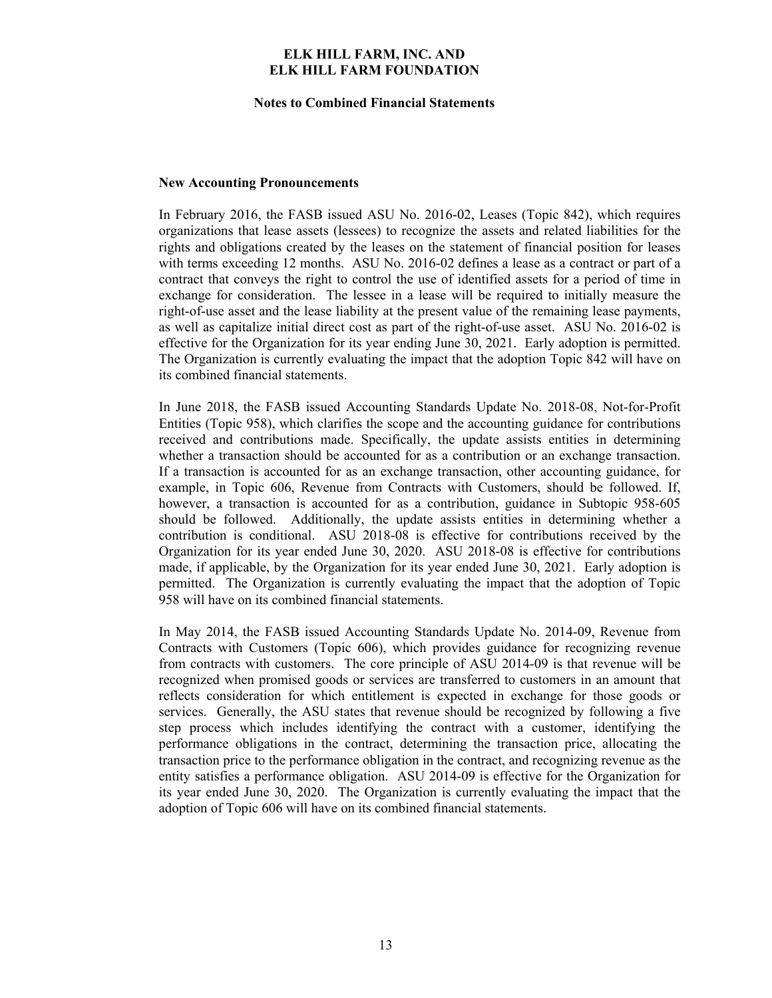#### **Notes to Combined Financial Statements**

#### **New Accounting Pronouncements**

In February 2016, the FASB issued ASU No. 2016-02, Leases (Topic 842), which requires organizations that lease assets (lessees) to recognize the assets and related liabilities for the rights and obligations created by the leases on the statement of financial position for leases with terms exceeding 12 months. ASU No. 2016-02 defines a lease as a contract or part of a contract that conveys the right to control the use of identified assets for a period of time in exchange for consideration. The lessee in a lease will be required to initially measure the right-of-use asset and the lease liability at the present value of the remaining lease payments, as well as capitalize initial direct cost as part of the right-of-use asset. ASU No. 2016-02 is effective for the Organization for its year ending June 30, 2021. Early adoption is permitted. The Organization is currently evaluating the impact that the adoption Topic 842 will have on its combined financial statements.

In June 2018, the FASB issued Accounting Standards Update No. 2018-08, Not-for-Profit Entities (Topic 958), which clarifies the scope and the accounting guidance for contributions received and contributions made. Specifically, the update assists entities in determining whether a transaction should be accounted for as a contribution or an exchange transaction. If a transaction is accounted for as an exchange transaction, other accounting guidance, for example, in Topic 606, Revenue from Contracts with Customers, should be followed. If, however, a transaction is accounted for as a contribution, guidance in Subtopic 958-605 should be followed. Additionally, the update assists entities in determining whether a contribution is conditional. ASU 2018-08 is effective for contributions received by the Organization for its year ended June 30, 2020. ASU 2018-08 is effective for contributions made, if applicable, by the Organization for its year ended June 30, 2021. Early adoption is permitted. The Organization is currently evaluating the impact that the adoption of Topic 958 will have on its combined financial statements.

In May 2014, the FASB issued Accounting Standards Update No. 2014-09, Revenue from Contracts with Customers (Topic 606), which provides guidance for recognizing revenue from contracts with customers. The core principle of ASU 2014-09 is that revenue will be recognized when promised goods or services are transferred to customers in an amount that reflects consideration for which entitlement is expected in exchange for those goods or services. Generally, the ASU states that revenue should be recognized by following a five step process which includes identifying the contract with a customer, identifying the performance obligations in the contract, determining the transaction price, allocating the transaction price to the performance obligation in the contract, and recognizing revenue as the entity satisfies a performance obligation. ASU 2014-09 is effective for the Organization for its year ended June 30, 2020. The Organization is currently evaluating the impact that the adoption of Topic 606 will have on its combined financial statements.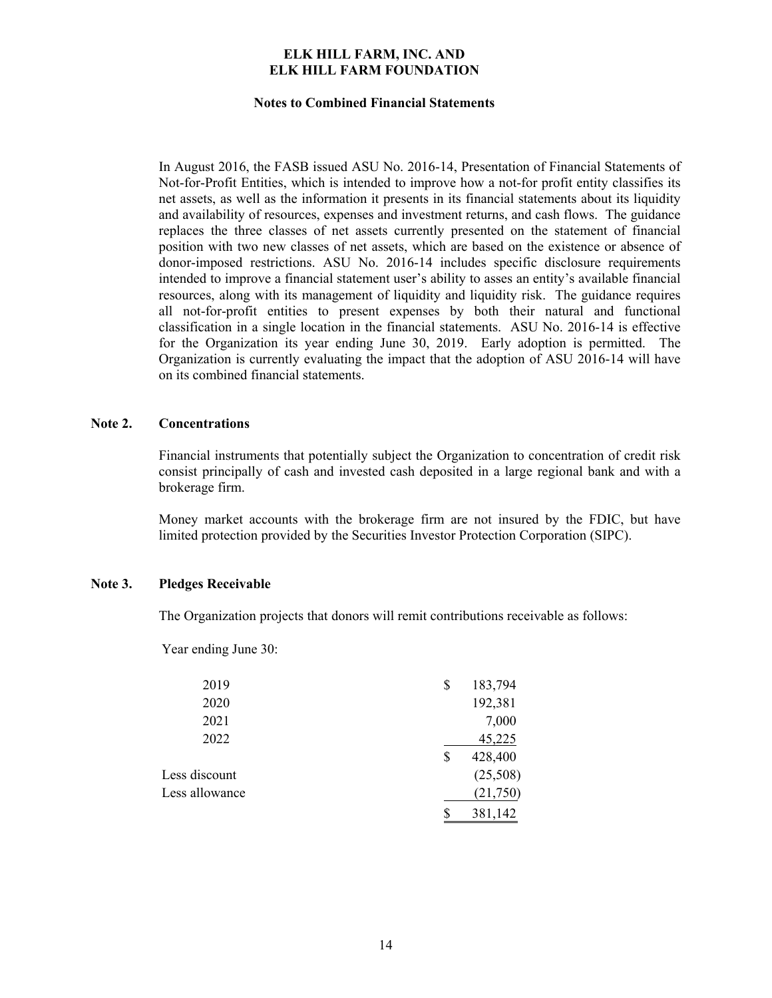#### **Notes to Combined Financial Statements**

In August 2016, the FASB issued ASU No. 2016-14, Presentation of Financial Statements of Not-for-Profit Entities, which is intended to improve how a not-for profit entity classifies its net assets, as well as the information it presents in its financial statements about its liquidity and availability of resources, expenses and investment returns, and cash flows. The guidance replaces the three classes of net assets currently presented on the statement of financial position with two new classes of net assets, which are based on the existence or absence of donor-imposed restrictions. ASU No. 2016-14 includes specific disclosure requirements intended to improve a financial statement user's ability to asses an entity's available financial resources, along with its management of liquidity and liquidity risk. The guidance requires all not-for-profit entities to present expenses by both their natural and functional classification in a single location in the financial statements. ASU No. 2016-14 is effective for the Organization its year ending June 30, 2019. Early adoption is permitted. The Organization is currently evaluating the impact that the adoption of ASU 2016-14 will have on its combined financial statements.

#### **Note 2. Concentrations**

Financial instruments that potentially subject the Organization to concentration of credit risk consist principally of cash and invested cash deposited in a large regional bank and with a brokerage firm.

Money market accounts with the brokerage firm are not insured by the FDIC, but have limited protection provided by the Securities Investor Protection Corporation (SIPC).

## **Note 3. Pledges Receivable**

The Organization projects that donors will remit contributions receivable as follows:

Year ending June 30:

| 2019           | \$<br>183,794 |
|----------------|---------------|
| 2020           | 192,381       |
| 2021           | 7,000         |
| 2022           | 45,225        |
|                | \$<br>428,400 |
| Less discount  | (25,508)      |
| Less allowance | (21,750)      |
|                | 381,142       |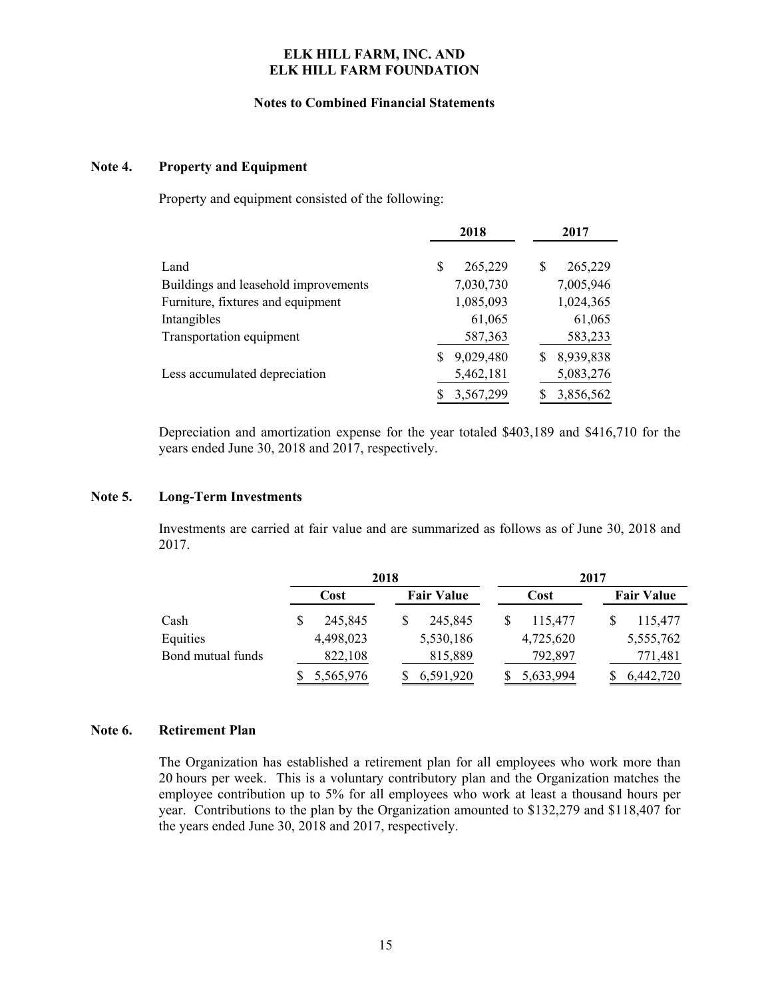#### **Notes to Combined Financial Statements**

## **Note 4. Property and Equipment**

Property and equipment consisted of the following:

|                                      | 2018           | 2017           |
|--------------------------------------|----------------|----------------|
| Land                                 | 265,229<br>S   | 265,229<br>S   |
| Buildings and leasehold improvements | 7,030,730      | 7,005,946      |
| Furniture, fixtures and equipment    | 1,085,093      | 1,024,365      |
| Intangibles                          | 61,065         | 61,065         |
| Transportation equipment             | 587,363        | 583,233        |
|                                      | 9,029,480<br>S | 8,939,838<br>S |
| Less accumulated depreciation        | 5,462,181      | 5,083,276      |
|                                      | 3,567,299      | 3,856,562      |

Depreciation and amortization expense for the year totaled \$403,189 and \$416,710 for the years ended June 30, 2018 and 2017, respectively.

#### **Note 5. Long-Term Investments**

Investments are carried at fair value and are summarized as follows as of June 30, 2018 and 2017.

|                   | 2018        |  |                   |  |           |  |                   |
|-------------------|-------------|--|-------------------|--|-----------|--|-------------------|
|                   | Cost        |  | <b>Fair Value</b> |  | Cost      |  | <b>Fair Value</b> |
| Cash              | 245,845     |  | 245,845           |  | 115,477   |  | 115,477           |
| Equities          | 4,498,023   |  | 5,530,186         |  | 4,725,620 |  | 5,555,762         |
| Bond mutual funds | 822,108     |  | 815,889           |  | 792,897   |  | 771,481           |
|                   | \$5,565,976 |  | 6,591,920         |  | 5,633,994 |  | 6,442,720         |

#### **Note 6. Retirement Plan**

The Organization has established a retirement plan for all employees who work more than 20 hours per week. This is a voluntary contributory plan and the Organization matches the employee contribution up to 5% for all employees who work at least a thousand hours per year. Contributions to the plan by the Organization amounted to \$132,279 and \$118,407 for the years ended June 30, 2018 and 2017, respectively.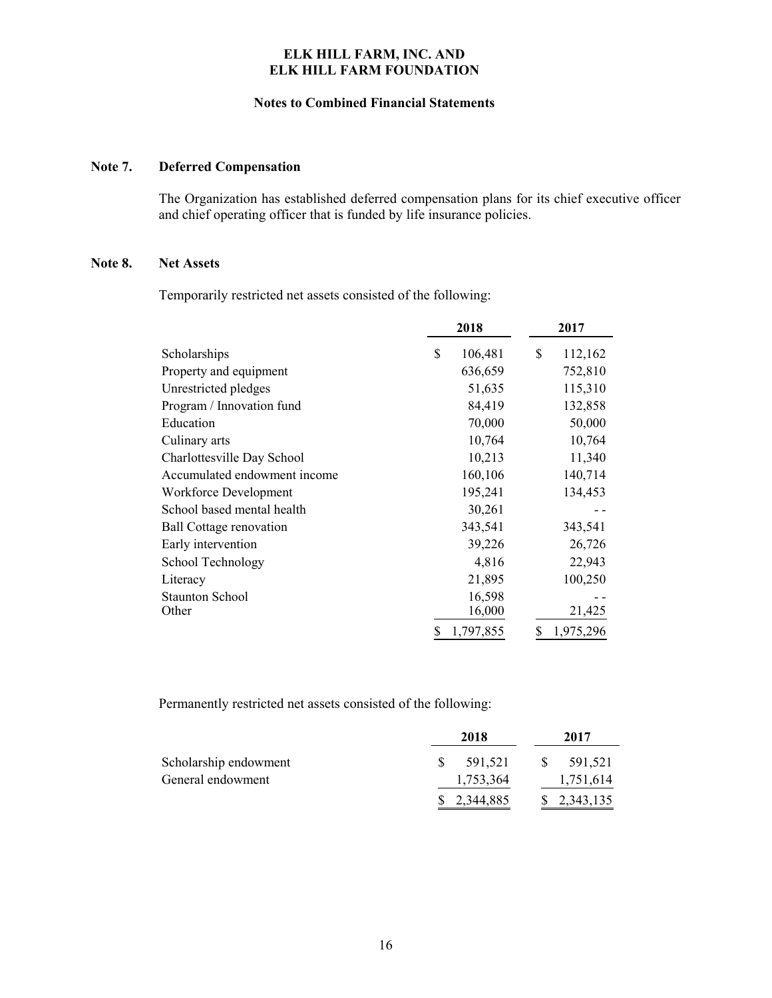#### **Notes to Combined Financial Statements**

## **Note 7. Deferred Compensation**

The Organization has established deferred compensation plans for its chief executive officer and chief operating officer that is funded by life insurance policies.

#### **Note 8. Net Assets**

Temporarily restricted net assets consisted of the following:

|                                | 2018            | 2017            |
|--------------------------------|-----------------|-----------------|
| Scholarships                   | \$<br>106,481   | \$<br>112,162   |
| Property and equipment         | 636,659         | 752,810         |
| Unrestricted pledges           | 51,635          | 115,310         |
| Program / Innovation fund      | 84,419          | 132,858         |
| Education                      | 70,000          | 50,000          |
| Culinary arts                  | 10,764          | 10,764          |
| Charlottesville Day School     | 10,213          | 11,340          |
| Accumulated endowment income   | 160,106         | 140,714         |
| Workforce Development          | 195,241         | 134,453         |
| School based mental health     | 30,261          |                 |
| <b>Ball Cottage renovation</b> | 343,541         | 343,541         |
| Early intervention             | 39,226          | 26,726          |
| School Technology              | 4,816           | 22,943          |
| Literacy                       | 21,895          | 100,250         |
| <b>Staunton School</b>         | 16,598          |                 |
| Other                          | 16,000          | 21,425          |
|                                | \$<br>1,797,855 | \$<br>1,975,296 |

Permanently restricted net assets consisted of the following:

|                       | 2018        |    | 2017                        |
|-----------------------|-------------|----|-----------------------------|
| Scholarship endowment | 591.521     | -S | 591.521                     |
| General endowment     | 1,753,364   |    | 1,751,614                   |
|                       | \$2,344,885 |    | $\frac{1}{2}$ , 2, 343, 135 |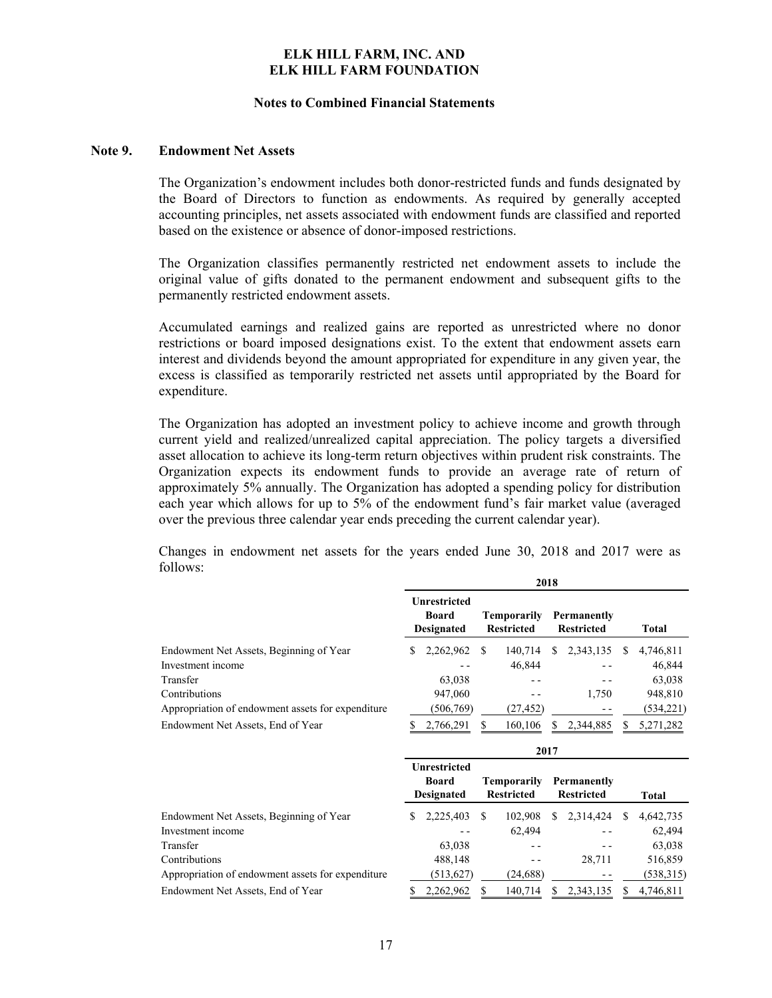#### **Notes to Combined Financial Statements**

#### **Note 9. Endowment Net Assets**

The Organization's endowment includes both donor-restricted funds and funds designated by the Board of Directors to function as endowments. As required by generally accepted accounting principles, net assets associated with endowment funds are classified and reported based on the existence or absence of donor-imposed restrictions.

The Organization classifies permanently restricted net endowment assets to include the original value of gifts donated to the permanent endowment and subsequent gifts to the permanently restricted endowment assets.

Accumulated earnings and realized gains are reported as unrestricted where no donor restrictions or board imposed designations exist. To the extent that endowment assets earn interest and dividends beyond the amount appropriated for expenditure in any given year, the excess is classified as temporarily restricted net assets until appropriated by the Board for expenditure.

The Organization has adopted an investment policy to achieve income and growth through current yield and realized/unrealized capital appreciation. The policy targets a diversified asset allocation to achieve its long-term return objectives within prudent risk constraints. The Organization expects its endowment funds to provide an average rate of return of approximately 5% annually. The Organization has adopted a spending policy for distribution each year which allows for up to 5% of the endowment fund's fair market value (averaged over the previous three calendar year ends preceding the current calendar year).

Changes in endowment net assets for the years ended June 30, 2018 and 2017 were as follows:

|                                                   | 2018 |                                                          |     |                                         |   |                                         |               |              |
|---------------------------------------------------|------|----------------------------------------------------------|-----|-----------------------------------------|---|-----------------------------------------|---------------|--------------|
|                                                   |      | Unrestricted<br><b>Board</b><br><b>Designated</b>        |     | Temporarily<br><b>Restricted</b>        |   | <b>Permanently</b><br><b>Restricted</b> |               | <b>Total</b> |
| Endowment Net Assets, Beginning of Year           | S    | 2,262,962                                                | S   | 140,714                                 | S | 2,343,135                               | S             | 4,746,811    |
| Investment income                                 |      |                                                          |     | 46,844                                  |   |                                         |               | 46,844       |
| Transfer                                          |      | 63,038                                                   |     |                                         |   |                                         |               | 63,038       |
| Contributions                                     |      | 947,060                                                  |     |                                         |   | 1,750                                   |               | 948,810      |
| Appropriation of endowment assets for expenditure |      | (506,769)                                                |     | (27, 452)                               |   |                                         |               | (534,221)    |
| Endowment Net Assets, End of Year                 |      | 2,766,291                                                | \$. | 160,106                                 | S | 2,344,885                               | S             | 5,271,282    |
|                                                   | 2017 |                                                          |     |                                         |   |                                         |               |              |
|                                                   |      | <b>Unrestricted</b><br><b>Board</b><br><b>Designated</b> |     | <b>Temporarily</b><br><b>Restricted</b> |   | Permanently<br><b>Restricted</b>        |               | Total        |
| Endowment Net Assets, Beginning of Year           | S    | 2,225,403                                                | \$. | 102,908                                 | S | 2,314,424                               | <sup>\$</sup> | 4,642,735    |
| Investment income                                 |      |                                                          |     | 62,494                                  |   |                                         |               | 62,494       |
| Transfer                                          |      | 63,038                                                   |     |                                         |   |                                         |               | 63,038       |
| Contributions                                     |      | 488,148                                                  |     |                                         |   | 28,711                                  |               | 516,859      |
| Appropriation of endowment assets for expenditure |      | (513, 627)                                               |     | (24, 688)                               |   |                                         |               | (538, 315)   |
| Endowment Net Assets, End of Year                 | \$   | 2,262,962                                                | S   | 140,714                                 | S | 2,343,135                               | S             | 4,746,811    |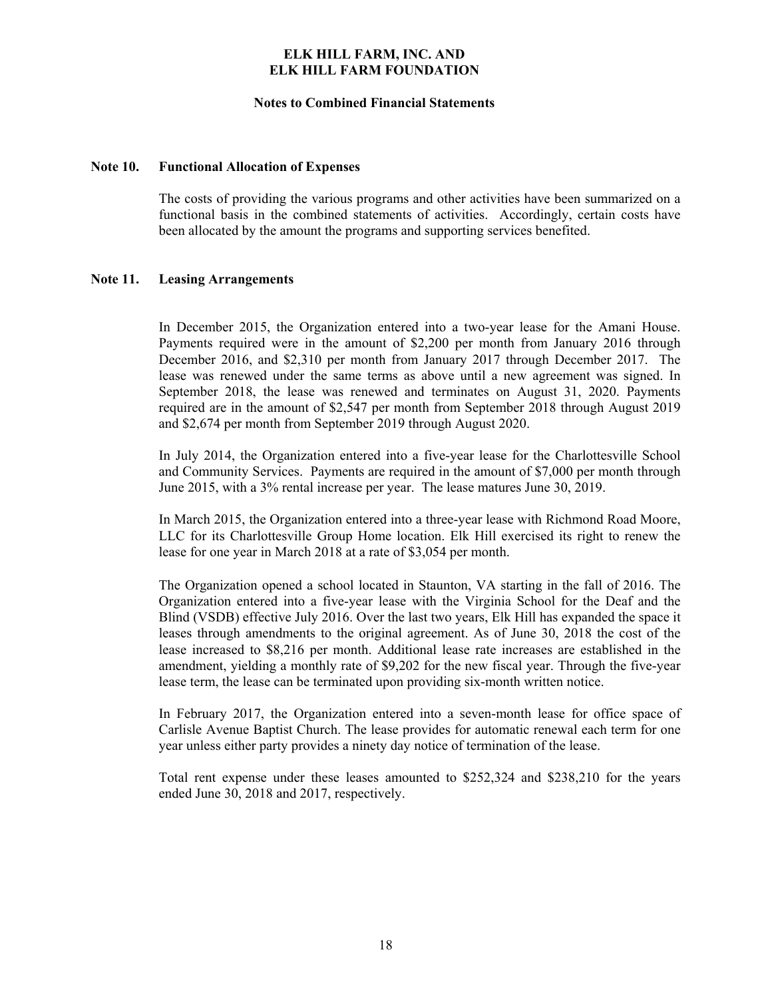#### **Notes to Combined Financial Statements**

#### **Note 10. Functional Allocation of Expenses**

The costs of providing the various programs and other activities have been summarized on a functional basis in the combined statements of activities. Accordingly, certain costs have been allocated by the amount the programs and supporting services benefited.

#### **Note 11. Leasing Arrangements**

In December 2015, the Organization entered into a two-year lease for the Amani House. Payments required were in the amount of \$2,200 per month from January 2016 through December 2016, and \$2,310 per month from January 2017 through December 2017. The lease was renewed under the same terms as above until a new agreement was signed. In September 2018, the lease was renewed and terminates on August 31, 2020. Payments required are in the amount of \$2,547 per month from September 2018 through August 2019 and \$2,674 per month from September 2019 through August 2020.

In July 2014, the Organization entered into a five-year lease for the Charlottesville School and Community Services. Payments are required in the amount of \$7,000 per month through June 2015, with a 3% rental increase per year. The lease matures June 30, 2019.

In March 2015, the Organization entered into a three-year lease with Richmond Road Moore, LLC for its Charlottesville Group Home location. Elk Hill exercised its right to renew the lease for one year in March 2018 at a rate of \$3,054 per month.

The Organization opened a school located in Staunton, VA starting in the fall of 2016. The Organization entered into a five-year lease with the Virginia School for the Deaf and the Blind (VSDB) effective July 2016. Over the last two years, Elk Hill has expanded the space it leases through amendments to the original agreement. As of June 30, 2018 the cost of the lease increased to \$8,216 per month. Additional lease rate increases are established in the amendment, yielding a monthly rate of \$9,202 for the new fiscal year. Through the five-year lease term, the lease can be terminated upon providing six-month written notice.

In February 2017, the Organization entered into a seven-month lease for office space of Carlisle Avenue Baptist Church. The lease provides for automatic renewal each term for one year unless either party provides a ninety day notice of termination of the lease.

Total rent expense under these leases amounted to \$252,324 and \$238,210 for the years ended June 30, 2018 and 2017, respectively.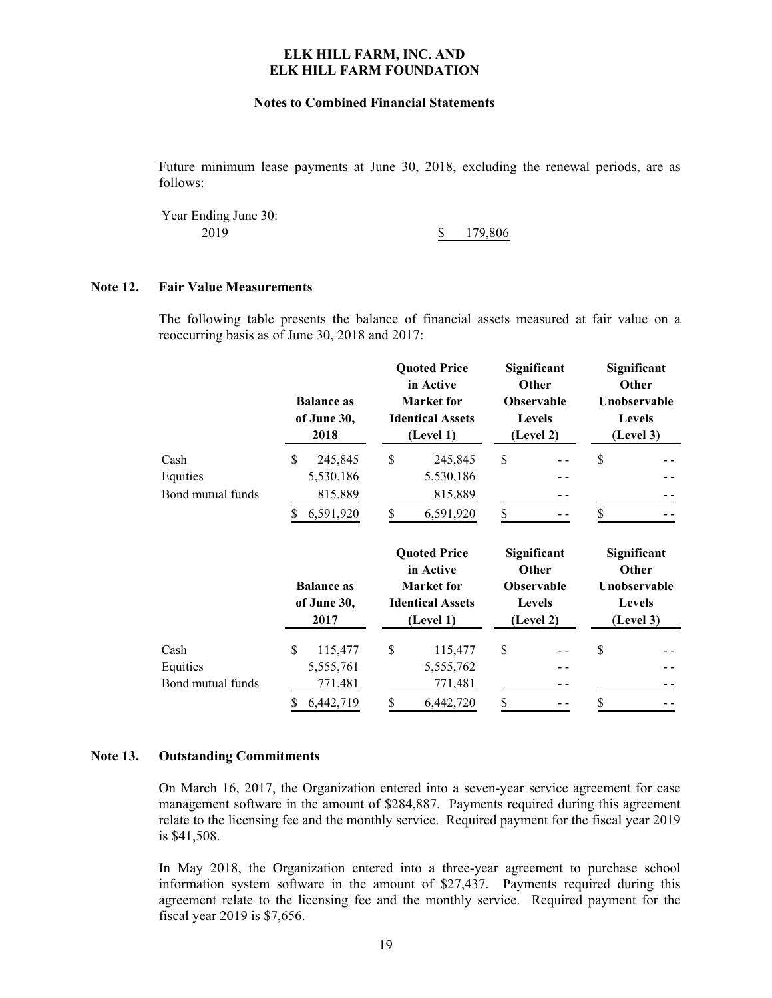#### **Notes to Combined Financial Statements**

Future minimum lease payments at June 30, 2018, excluding the renewal periods, are as follows:

Year Ending June 30: 2019 179,806 \$

## **Note 12. Fair Value Measurements**

The following table presents the balance of financial assets measured at fair value on a reoccurring basis as of June 30, 2018 and 2017:

|                   | <b>Balance as</b><br>of June 30,<br>2018 | <b>Quoted Price</b><br>in Active<br><b>Market</b> for<br><b>Identical Assets</b><br>(Level 1) | Significant<br>Other<br><b>Observable</b><br>Levels<br>(Level 2) | Significant<br>Other<br>Unobservable<br><b>Levels</b><br>(Level 3) |
|-------------------|------------------------------------------|-----------------------------------------------------------------------------------------------|------------------------------------------------------------------|--------------------------------------------------------------------|
| Cash              | \$<br>245,845                            | \$<br>245,845                                                                                 | \$                                                               | \$                                                                 |
| Equities          | 5,530,186                                | 5,530,186                                                                                     |                                                                  |                                                                    |
| Bond mutual funds | 815,889                                  | 815,889                                                                                       |                                                                  |                                                                    |
|                   | 6,591,920<br>\$                          | \$<br>6,591,920                                                                               | \$                                                               | \$                                                                 |
|                   | <b>Balance as</b><br>of June 30,<br>2017 | <b>Quoted Price</b><br>in Active<br><b>Market</b> for<br><b>Identical Assets</b><br>(Level 1) | Significant<br>Other<br>Observable<br>Levels<br>(Level 2)        | Significant<br>Other<br>Unobservable<br><b>Levels</b><br>(Level 3) |
| Cash              | \$<br>115,477                            | \$<br>115,477                                                                                 | \$                                                               | \$                                                                 |
| Equities          | 5,555,761                                | 5,555,762                                                                                     |                                                                  |                                                                    |
| Bond mutual funds | 771,481                                  | 771,481                                                                                       |                                                                  |                                                                    |
|                   | \$<br>6,442,719                          | \$<br>6,442,720                                                                               | \$                                                               | \$                                                                 |

#### **Note 13. Outstanding Commitments**

On March 16, 2017, the Organization entered into a seven-year service agreement for case management software in the amount of \$284,887. Payments required during this agreement relate to the licensing fee and the monthly service. Required payment for the fiscal year 2019 is \$41,508.

In May 2018, the Organization entered into a three-year agreement to purchase school information system software in the amount of \$27,437. Payments required during this agreement relate to the licensing fee and the monthly service. Required payment for the fiscal year 2019 is \$7,656.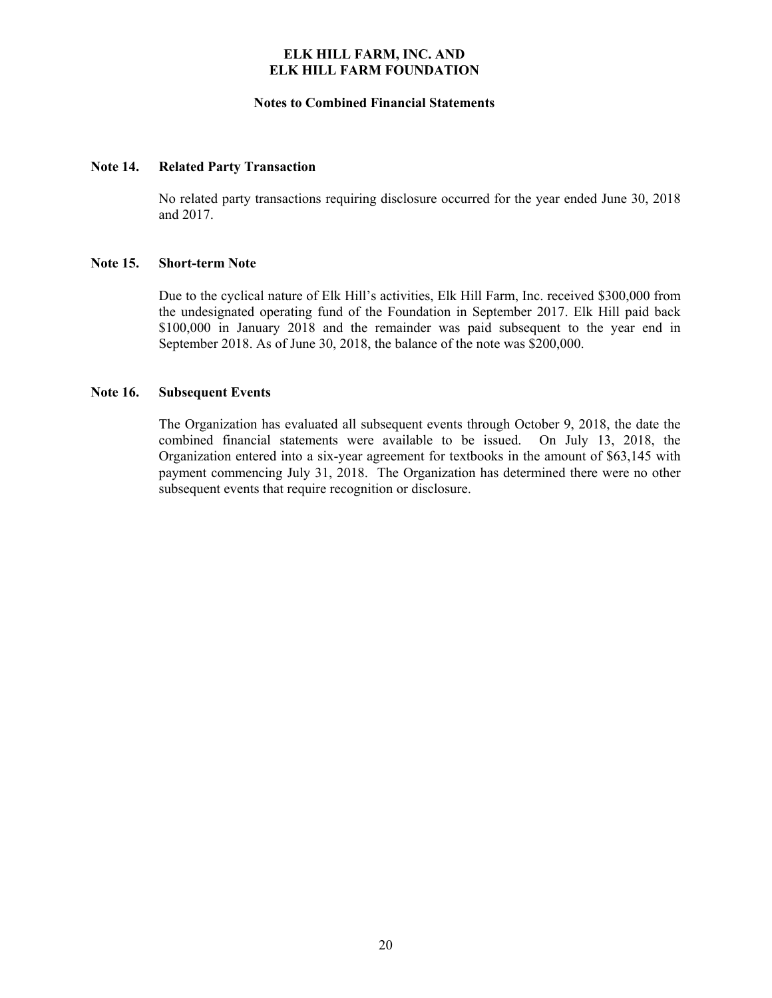#### **Notes to Combined Financial Statements**

#### **Note 14. Related Party Transaction**

No related party transactions requiring disclosure occurred for the year ended June 30, 2018 and 2017.

## **Note 15. Short-term Note**

Due to the cyclical nature of Elk Hill's activities, Elk Hill Farm, Inc. received \$300,000 from the undesignated operating fund of the Foundation in September 2017. Elk Hill paid back \$100,000 in January 2018 and the remainder was paid subsequent to the year end in September 2018. As of June 30, 2018, the balance of the note was \$200,000.

## **Note 16. Subsequent Events**

The Organization has evaluated all subsequent events through October 9, 2018, the date the combined financial statements were available to be issued. On July 13, 2018, the Organization entered into a six-year agreement for textbooks in the amount of \$63,145 with payment commencing July 31, 2018. The Organization has determined there were no other subsequent events that require recognition or disclosure.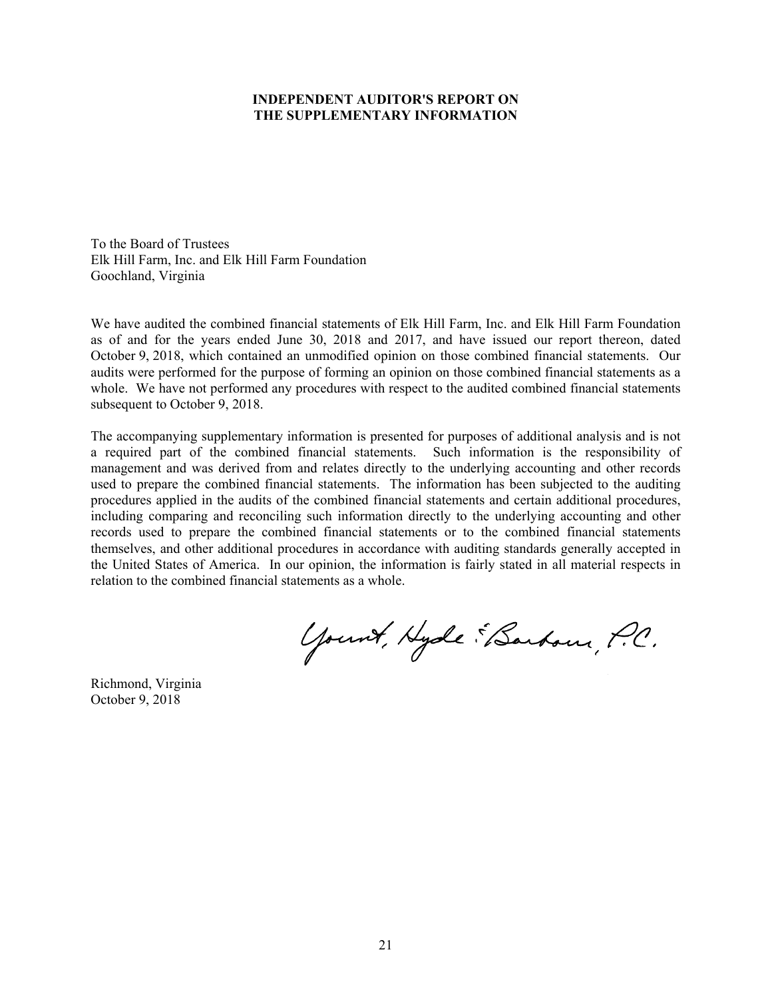## **INDEPENDENT AUDITOR'S REPORT ON THE SUPPLEMENTARY INFORMATION**

To the Board of Trustees Elk Hill Farm, Inc. and Elk Hill Farm Foundation Goochland, Virginia

We have audited the combined financial statements of Elk Hill Farm, Inc. and Elk Hill Farm Foundation as of and for the years ended June 30, 2018 and 2017, and have issued our report thereon, dated October 9, 2018, which contained an unmodified opinion on those combined financial statements. Our audits were performed for the purpose of forming an opinion on those combined financial statements as a whole. We have not performed any procedures with respect to the audited combined financial statements subsequent to October 9, 2018.

The accompanying supplementary information is presented for purposes of additional analysis and is not a required part of the combined financial statements. Such information is the responsibility of management and was derived from and relates directly to the underlying accounting and other records used to prepare the combined financial statements. The information has been subjected to the auditing procedures applied in the audits of the combined financial statements and certain additional procedures, including comparing and reconciling such information directly to the underlying accounting and other records used to prepare the combined financial statements or to the combined financial statements themselves, and other additional procedures in accordance with auditing standards generally accepted in the United States of America. In our opinion, the information is fairly stated in all material respects in relation to the combined financial statements as a whole.

Yount, Hyde "Barbour, P.C.

Richmond, Virginia October 9, 2018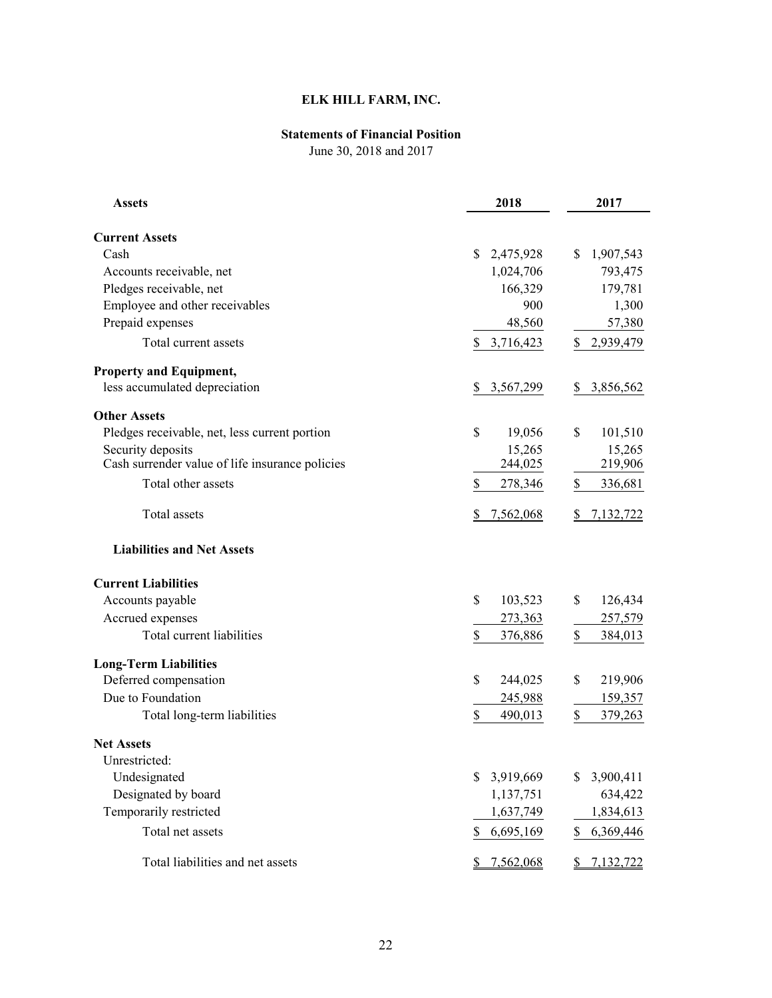# **ELK HILL FARM, INC.**

# **Statements of Financial Position**

June 30, 2018 and 2017

| <b>Assets</b>                                   | 2018            | 2017                       |
|-------------------------------------------------|-----------------|----------------------------|
| <b>Current Assets</b>                           |                 |                            |
| Cash                                            | 2,475,928<br>S  | 1,907,543<br>\$            |
| Accounts receivable, net                        | 1,024,706       | 793,475                    |
| Pledges receivable, net                         | 166,329         | 179,781                    |
| Employee and other receivables                  | 900             | 1,300                      |
| Prepaid expenses                                | 48,560          | 57,380                     |
|                                                 |                 |                            |
| Total current assets                            | \$<br>3,716,423 | \$<br>2,939,479            |
| <b>Property and Equipment,</b>                  |                 |                            |
| less accumulated depreciation                   | S<br>3,567,299  | 3,856,562<br>S             |
| <b>Other Assets</b>                             |                 |                            |
| Pledges receivable, net, less current portion   | \$<br>19,056    | \$<br>101,510              |
| Security deposits                               | 15,265          | 15,265                     |
| Cash surrender value of life insurance policies | 244,025         | 219,906                    |
| Total other assets                              | \$<br>278,346   | \$<br>336,681              |
| Total assets                                    | 7,562,068<br>S  | 7,132,722<br>\$            |
| <b>Liabilities and Net Assets</b>               |                 |                            |
| <b>Current Liabilities</b>                      |                 |                            |
| Accounts payable                                | \$<br>103,523   | \$<br>126,434              |
| Accrued expenses                                | 273,363         | 257,579                    |
| Total current liabilities                       | \$<br>376,886   | \$<br>384,013              |
| <b>Long-Term Liabilities</b>                    |                 |                            |
| Deferred compensation                           | \$<br>244,025   | \$<br>219,906              |
| Due to Foundation                               | 245,988         | 159,357                    |
| Total long-term liabilities                     | \$<br>490,013   | \$<br>379,263              |
| <b>Net Assets</b>                               |                 |                            |
| Unrestricted:                                   |                 |                            |
| Undesignated                                    | \$<br>3,919,669 | 3,900,411<br>\$            |
| Designated by board                             | 1,137,751       | 634,422                    |
| Temporarily restricted                          | 1,637,749       | 1,834,613                  |
| Total net assets                                | \$<br>6,695,169 | 6,369,446<br>\$            |
| Total liabilities and net assets                | \$7,562,068     | 7,132,722<br>$\frac{S}{2}$ |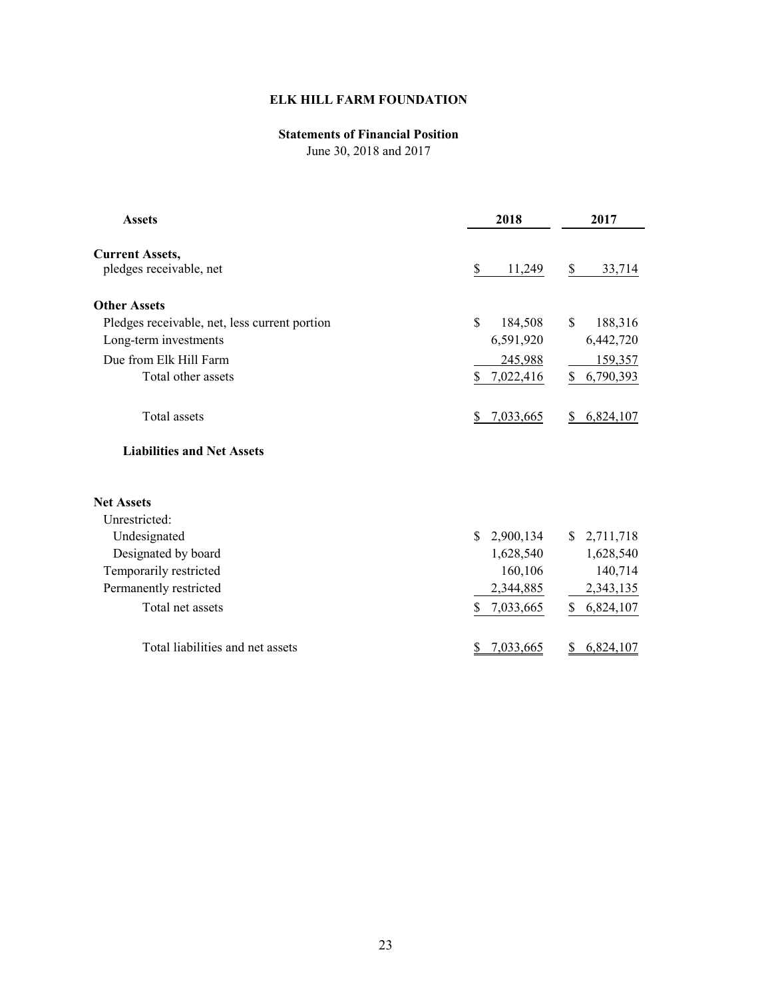# **ELK HILL FARM FOUNDATION**

# **Statements of Financial Position**

June 30, 2018 and 2017

| <b>Assets</b>                                     | 2018                      | 2017            |
|---------------------------------------------------|---------------------------|-----------------|
| <b>Current Assets,</b><br>pledges receivable, net | \$<br>11,249              | \$<br>33,714    |
| <b>Other Assets</b>                               |                           |                 |
| Pledges receivable, net, less current portion     | \$<br>184,508             | \$<br>188,316   |
| Long-term investments                             | 6,591,920                 | 6,442,720       |
| Due from Elk Hill Farm                            | 245,988                   | 159,357         |
| Total other assets                                | $\mathbb{S}$<br>7,022,416 | 6,790,393<br>\$ |
| Total assets                                      | 7,033,665                 | 6,824,107       |
| <b>Liabilities and Net Assets</b>                 |                           |                 |
| <b>Net Assets</b>                                 |                           |                 |
| Unrestricted:                                     |                           |                 |
| Undesignated                                      | 2,900,134<br>S.           | \$2,711,718     |
| Designated by board                               | 1,628,540                 | 1,628,540       |
| Temporarily restricted                            | 160,106                   | 140,714         |
| Permanently restricted                            | 2,344,885                 | 2,343,135       |
| Total net assets                                  | \$<br>7,033,665           | 6,824,107<br>\$ |
| Total liabilities and net assets                  | 7,033,665                 | 6,824,107       |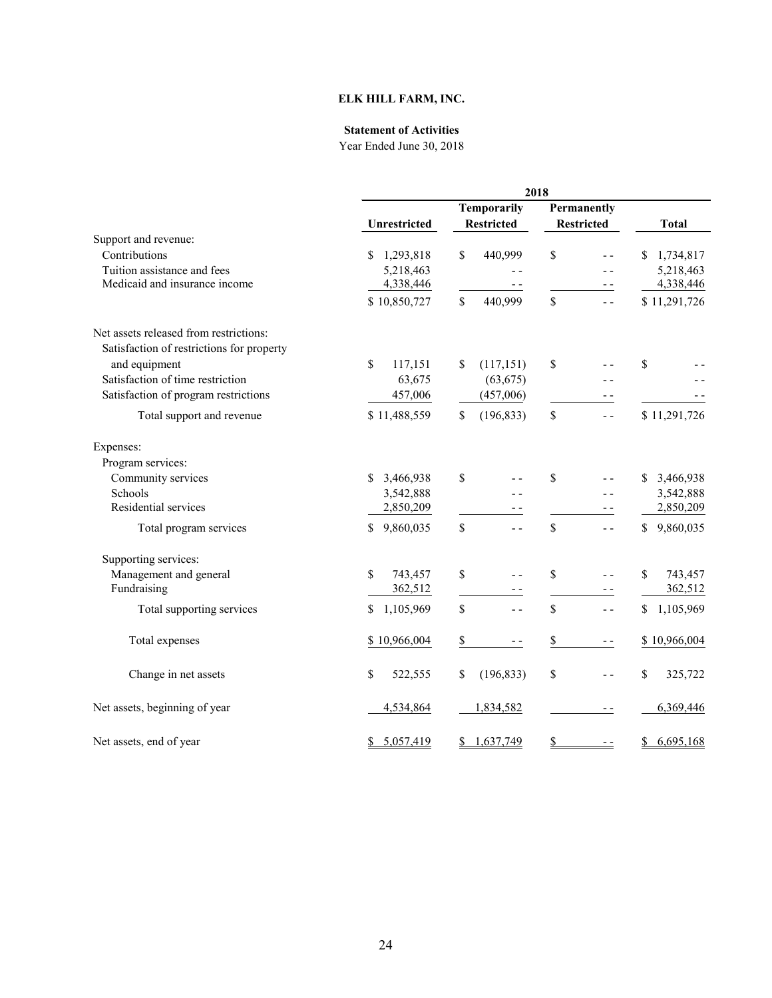## **ELK HILL FARM, INC.**

#### **Statement of Activities**

|                                           |                           | 2018                |                                 |                 |  |  |  |
|-------------------------------------------|---------------------------|---------------------|---------------------------------|-----------------|--|--|--|
|                                           |                           | Temporarily         |                                 |                 |  |  |  |
|                                           | Unrestricted              | <b>Restricted</b>   | <b>Restricted</b>               | <b>Total</b>    |  |  |  |
| Support and revenue:                      |                           |                     |                                 |                 |  |  |  |
| Contributions                             | \$1,293,818               | \$<br>440,999       | \$<br>$\overline{a}$            | 1,734,817<br>S. |  |  |  |
| Tuition assistance and fees               | 5,218,463                 | - -                 | $ -$                            | 5,218,463       |  |  |  |
| Medicaid and insurance income             | 4,338,446                 | - -                 | $ -$                            | 4,338,446       |  |  |  |
|                                           | \$10,850,727              | \$<br>440,999       | \$<br>$ -$                      | \$11,291,726    |  |  |  |
| Net assets released from restrictions:    |                           |                     |                                 |                 |  |  |  |
| Satisfaction of restrictions for property |                           |                     |                                 |                 |  |  |  |
| and equipment                             | \$<br>117,151             | \$<br>(117, 151)    | \$                              | \$              |  |  |  |
| Satisfaction of time restriction          | 63,675                    | (63, 675)           |                                 |                 |  |  |  |
| Satisfaction of program restrictions      | 457,006                   | (457,006)           | $- -$                           |                 |  |  |  |
| Total support and revenue                 | \$11,488,559              | \$<br>(196, 833)    | \$<br>$ -$                      | \$11,291,726    |  |  |  |
| Expenses:                                 |                           |                     |                                 |                 |  |  |  |
| Program services:                         |                           |                     |                                 |                 |  |  |  |
| Community services                        | $\mathbb{S}$<br>3,466,938 | \$<br>$ -$          | \$<br>$ -$                      | \$<br>3,466,938 |  |  |  |
| Schools                                   | 3,542,888                 | - -                 | - -                             | 3,542,888       |  |  |  |
| Residential services                      | 2,850,209                 | - -                 |                                 | 2,850,209       |  |  |  |
| Total program services                    | 9,860,035<br>\$           | \$<br>$ -$          | \$<br>$ -$                      | \$<br>9,860,035 |  |  |  |
| Supporting services:                      |                           |                     |                                 |                 |  |  |  |
| Management and general                    | \$<br>743,457             | \$<br>$ -$          | \$<br>$ -$                      | \$<br>743,457   |  |  |  |
| Fundraising                               | 362,512                   | $\frac{1}{2}$       | $ -$                            | 362,512         |  |  |  |
| Total supporting services                 | \$<br>1,105,969           | \$<br>$ -$          | \$<br>$ -$                      | 1,105,969<br>\$ |  |  |  |
| Total expenses                            | \$10,966,004              | \$<br>$\frac{1}{2}$ | $\overline{\mathbb{S}}$<br>$ -$ | \$10,966,004    |  |  |  |
| Change in net assets                      | \$<br>522,555             | \$<br>(196, 833)    | \$<br>$ -$                      | \$<br>325,722   |  |  |  |
| Net assets, beginning of year             | 4,534,864                 | 1,834,582           | $ -$                            | 6,369,446       |  |  |  |
| Net assets, end of year                   | \$5,057,419               | 1,637,749<br>\$     | $\frac{1}{2}$<br>$ -$           | 6,695,168<br>\$ |  |  |  |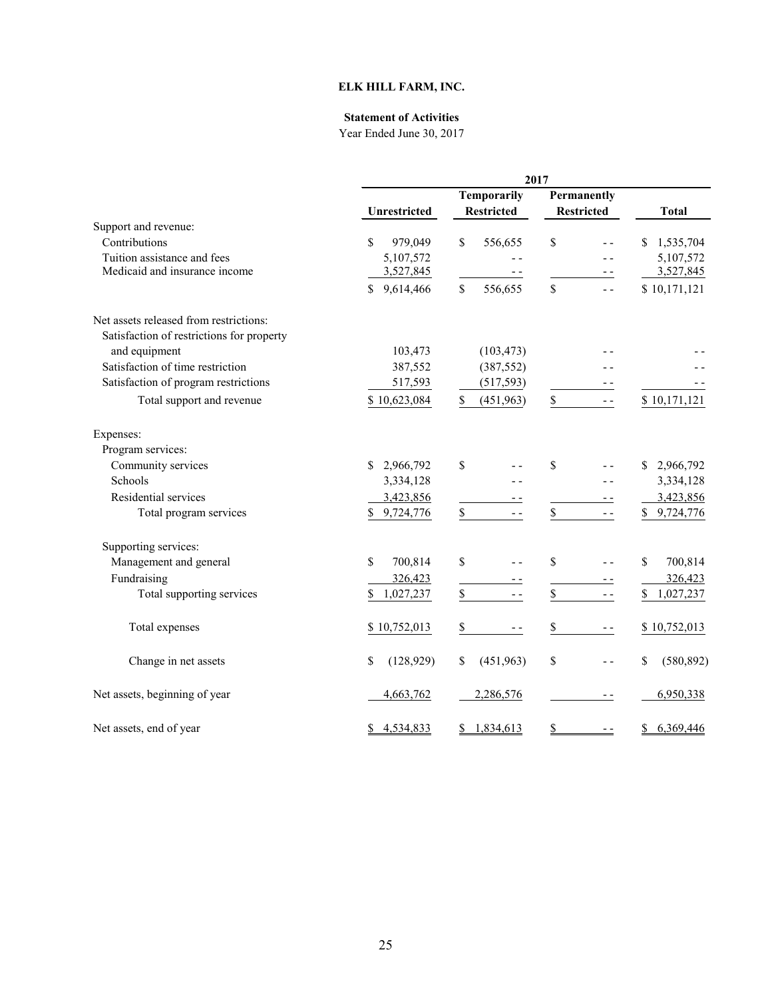# **ELK HILL FARM, INC.**

## **Statement of Activities**

|                                           |                  | 2017                                    |                                  |                  |
|-------------------------------------------|------------------|-----------------------------------------|----------------------------------|------------------|
|                                           | Unrestricted     | <b>Temporarily</b><br><b>Restricted</b> | Permanently<br><b>Restricted</b> | <b>Total</b>     |
| Support and revenue:                      |                  |                                         |                                  |                  |
| Contributions                             | \$<br>979,049    | \$<br>556,655                           | \$                               | 1,535,704        |
| Tuition assistance and fees               | 5,107,572        |                                         |                                  | 5,107,572        |
| Medicaid and insurance income             | 3,527,845        |                                         | $ -$                             | 3,527,845        |
|                                           | 9,614,466<br>\$  | \$<br>556,655                           | \$<br>$ -$                       | \$10,171,121     |
| Net assets released from restrictions:    |                  |                                         |                                  |                  |
| Satisfaction of restrictions for property |                  |                                         |                                  |                  |
| and equipment                             | 103,473          | (103, 473)                              |                                  |                  |
| Satisfaction of time restriction          | 387,552          | (387, 552)                              |                                  |                  |
| Satisfaction of program restrictions      | 517,593          | (517, 593)                              |                                  |                  |
| Total support and revenue                 | \$10,623,084     | \$<br>(451,963)                         | \$<br>$ -$                       | \$10,171,121     |
| Expenses:                                 |                  |                                         |                                  |                  |
| Program services:                         |                  |                                         |                                  |                  |
| Community services                        | S.<br>2,966,792  | \$                                      | \$                               | 2,966,792<br>\$  |
| Schools                                   | 3,334,128        |                                         |                                  | 3,334,128        |
| Residential services                      | 3,423,856        |                                         |                                  | 3,423,856        |
| Total program services                    | 9,724,776        | ${\mathbb S}$<br>$ -$                   | \$                               | \$<br>9,724,776  |
| Supporting services:                      |                  |                                         |                                  |                  |
| Management and general                    | \$<br>700,814    | \$                                      | \$                               | \$<br>700,814    |
| Fundraising                               | 326,423          |                                         |                                  | 326,423          |
| Total supporting services                 | 1,027,237<br>\$  | $\mathbb S$<br>$ -$                     | \$<br>$ -$                       | \$<br>1,027,237  |
| Total expenses                            | \$10,752,013     | \$<br>$\frac{1}{2}$                     | \$<br>$- -$                      | \$10,752,013     |
| Change in net assets                      | \$<br>(128, 929) | \$<br>(451,963)                         | \$<br>$ -$                       | \$<br>(580, 892) |
| Net assets, beginning of year             | 4,663,762        | 2,286,576                               | $ -$                             | 6,950,338        |
| Net assets, end of year                   | 4,534,833<br>\$  | 1,834,613<br>S                          | \$                               | 6,369,446<br>\$  |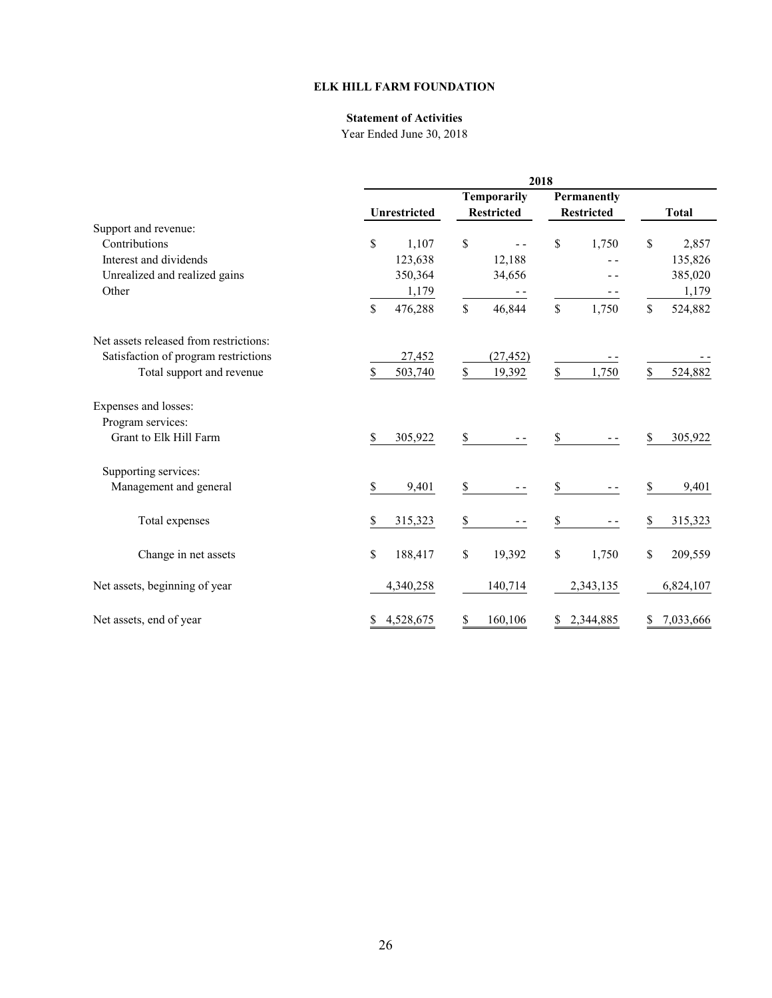## **ELK HILL FARM FOUNDATION**

## **Statement of Activities**

|                                        | 2018                |                         |                   |               |  |
|----------------------------------------|---------------------|-------------------------|-------------------|---------------|--|
|                                        |                     | Temporarily             | Permanently       |               |  |
|                                        | <b>Unrestricted</b> | <b>Restricted</b>       | <b>Restricted</b> | <b>Total</b>  |  |
| Support and revenue:                   |                     |                         |                   |               |  |
| Contributions                          | \$<br>1,107         | \$<br>$ -$              | \$<br>1,750       | \$<br>2,857   |  |
| Interest and dividends                 | 123,638             | 12,188                  |                   | 135,826       |  |
| Unrealized and realized gains          | 350,364             | 34,656                  |                   | 385,020       |  |
| Other                                  | 1,179               |                         |                   | 1,179         |  |
|                                        | \$<br>476,288       | $\mathcal{S}$<br>46,844 | \$<br>1,750       | \$<br>524,882 |  |
| Net assets released from restrictions: |                     |                         |                   |               |  |
| Satisfaction of program restrictions   | 27,452              | (27, 452)               |                   |               |  |
| Total support and revenue              | \$<br>503,740       | \$<br>19,392            | \$<br>1,750       | \$<br>524,882 |  |
| Expenses and losses:                   |                     |                         |                   |               |  |
| Program services:                      |                     |                         |                   |               |  |
| Grant to Elk Hill Farm                 | \$<br>305,922       | \$                      | \$                | \$<br>305,922 |  |
| Supporting services:                   |                     |                         |                   |               |  |
| Management and general                 | \$<br>9,401         | \$                      | \$                | \$<br>9,401   |  |
| Total expenses                         | \$<br>315,323       | \$                      | \$                | \$<br>315,323 |  |
| Change in net assets                   | \$<br>188,417       | \$<br>19,392            | \$<br>1,750       | \$<br>209,559 |  |
|                                        |                     |                         |                   |               |  |
| Net assets, beginning of year          | 4,340,258           | 140,714                 | 2,343,135         | 6,824,107     |  |
| Net assets, end of year                | 4,528,675<br>\$     | \$<br>160,106           | \$2,344,885       | \$7,033,666   |  |